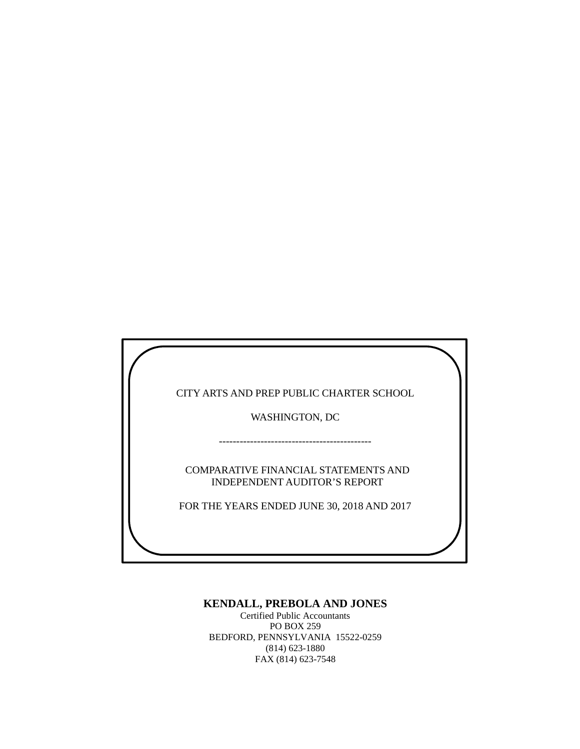CITY ARTS AND PREP PUBLIC CHARTER SCHOOL

WASHINGTON, DC

--------------------------------------------

COMPARATIVE FINANCIAL STATEMENTS AND INDEPENDENT AUDITOR'S REPORT

FOR THE YEARS ENDED JUNE 30, 2018 AND 2017

# **KENDALL, PREBOLA AND JONES**

Certified Public Accountants PO BOX 259 BEDFORD, PENNSYLVANIA 15522-0259 (814) 623-1880 FAX (814) 623-7548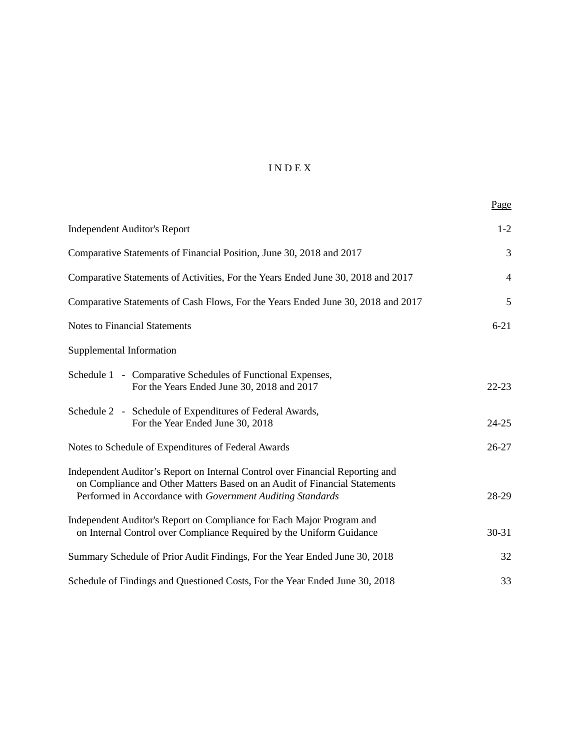# I N D E X

|                                                                                                                                                                                                                          | Page           |
|--------------------------------------------------------------------------------------------------------------------------------------------------------------------------------------------------------------------------|----------------|
| <b>Independent Auditor's Report</b>                                                                                                                                                                                      | $1-2$          |
| Comparative Statements of Financial Position, June 30, 2018 and 2017                                                                                                                                                     | 3              |
| Comparative Statements of Activities, For the Years Ended June 30, 2018 and 2017                                                                                                                                         | $\overline{4}$ |
| Comparative Statements of Cash Flows, For the Years Ended June 30, 2018 and 2017                                                                                                                                         | 5              |
| <b>Notes to Financial Statements</b>                                                                                                                                                                                     | $6 - 21$       |
| Supplemental Information                                                                                                                                                                                                 |                |
| Schedule 1 - Comparative Schedules of Functional Expenses,<br>For the Years Ended June 30, 2018 and 2017                                                                                                                 | $22 - 23$      |
| Schedule 2 - Schedule of Expenditures of Federal Awards,<br>For the Year Ended June 30, 2018                                                                                                                             | $24 - 25$      |
| Notes to Schedule of Expenditures of Federal Awards                                                                                                                                                                      | $26 - 27$      |
| Independent Auditor's Report on Internal Control over Financial Reporting and<br>on Compliance and Other Matters Based on an Audit of Financial Statements<br>Performed in Accordance with Government Auditing Standards | 28-29          |
| Independent Auditor's Report on Compliance for Each Major Program and<br>on Internal Control over Compliance Required by the Uniform Guidance                                                                            | 30-31          |
| Summary Schedule of Prior Audit Findings, For the Year Ended June 30, 2018                                                                                                                                               | 32             |
| Schedule of Findings and Questioned Costs, For the Year Ended June 30, 2018                                                                                                                                              | 33             |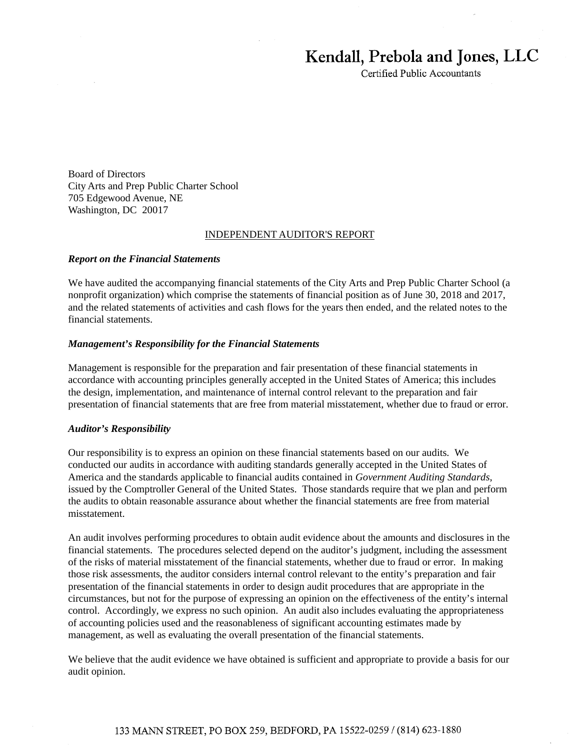# **Kendall, Prebola and Jones, LLC**

Certified Public Accountants

Board of Directors City Arts and Prep Public Charter School 705 Edgewood Avenue, NE Washington, DC 20017

#### INDEPENDENT AUDITOR'S REPORT

#### *Report on the Financial Statements*

We have audited the accompanying financial statements of the City Arts and Prep Public Charter School (a nonprofit organization) which comprise the statements of financial position as of June 30, 2018 and 2017, and the related statements of activities and cash flows for the years then ended, and the related notes to the financial statements.

#### *Management's Responsibility for the Financial Statements*

Management is responsible for the preparation and fair presentation of these financial statements in accordance with accounting principles generally accepted in the United States of America; this includes the design, implementation, and maintenance of internal control relevant to the preparation and fair presentation of financial statements that are free from material misstatement, whether due to fraud or error.

#### *Auditor's Responsibility*

Our responsibility is to express an opinion on these financial statements based on our audits. We conducted our audits in accordance with auditing standards generally accepted in the United States of America and the standards applicable to financial audits contained in *Government Auditing Standards*, issued by the Comptroller General of the United States. Those standards require that we plan and perform the audits to obtain reasonable assurance about whether the financial statements are free from material misstatement.

An audit involves performing procedures to obtain audit evidence about the amounts and disclosures in the financial statements. The procedures selected depend on the auditor's judgment, including the assessment of the risks of material misstatement of the financial statements, whether due to fraud or error. In making those risk assessments, the auditor considers internal control relevant to the entity's preparation and fair presentation of the financial statements in order to design audit procedures that are appropriate in the circumstances, but not for the purpose of expressing an opinion on the effectiveness of the entity's internal control. Accordingly, we express no such opinion. An audit also includes evaluating the appropriateness of accounting policies used and the reasonableness of significant accounting estimates made by management, as well as evaluating the overall presentation of the financial statements.

We believe that the audit evidence we have obtained is sufficient and appropriate to provide a basis for our audit opinion.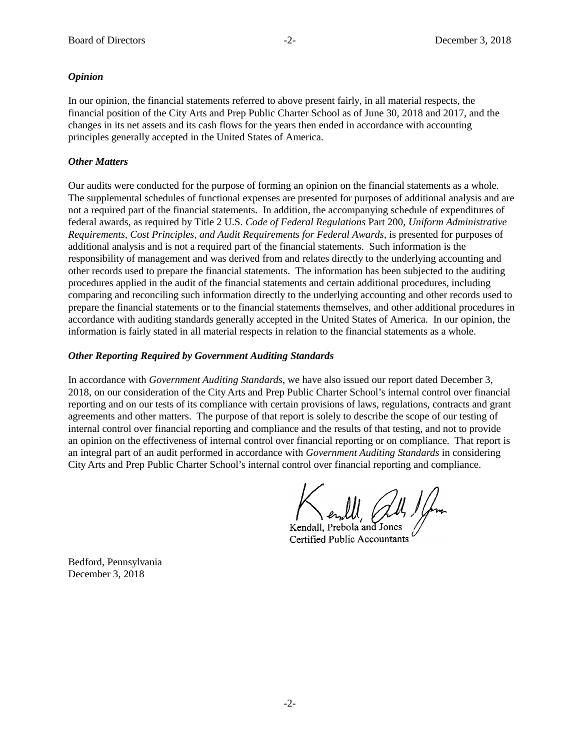#### *Opinion*

In our opinion, the financial statements referred to above present fairly, in all material respects, the financial position of the City Arts and Prep Public Charter School as of June 30, 2018 and 2017, and the changes in its net assets and its cash flows for the years then ended in accordance with accounting principles generally accepted in the United States of America.

#### *Other Matters*

Our audits were conducted for the purpose of forming an opinion on the financial statements as a whole. The supplemental schedules of functional expenses are presented for purposes of additional analysis and are not a required part of the financial statements. In addition, the accompanying schedule of expenditures of federal awards, as required by Title 2 U.S. *Code of Federal Regulations* Part 200, *Uniform Administrative Requirements, Cost Principles, and Audit Requirements for Federal Awards*, is presented for purposes of additional analysis and is not a required part of the financial statements. Such information is the responsibility of management and was derived from and relates directly to the underlying accounting and other records used to prepare the financial statements. The information has been subjected to the auditing procedures applied in the audit of the financial statements and certain additional procedures, including comparing and reconciling such information directly to the underlying accounting and other records used to prepare the financial statements or to the financial statements themselves, and other additional procedures in accordance with auditing standards generally accepted in the United States of America. In our opinion, the information is fairly stated in all material respects in relation to the financial statements as a whole.

#### *Other Reporting Required by Government Auditing Standards*

In accordance with *Government Auditing Standards*, we have also issued our report dated December 3, 2018, on our consideration of the City Arts and Prep Public Charter School's internal control over financial reporting and on our tests of its compliance with certain provisions of laws, regulations, contracts and grant agreements and other matters. The purpose of that report is solely to describe the scope of our testing of internal control over financial reporting and compliance and the results of that testing, and not to provide an opinion on the effectiveness of internal control over financial reporting or on compliance. That report is an integral part of an audit performed in accordance with *Government Auditing Standards* in considering City Arts and Prep Public Charter School's internal control over financial reporting and compliance.

Kendall, Prebola and Jones Kendall, Prebola and Jones Certified Public Accountants Certified Public Accountants

Bedford, Pennsylvania December 3, 2018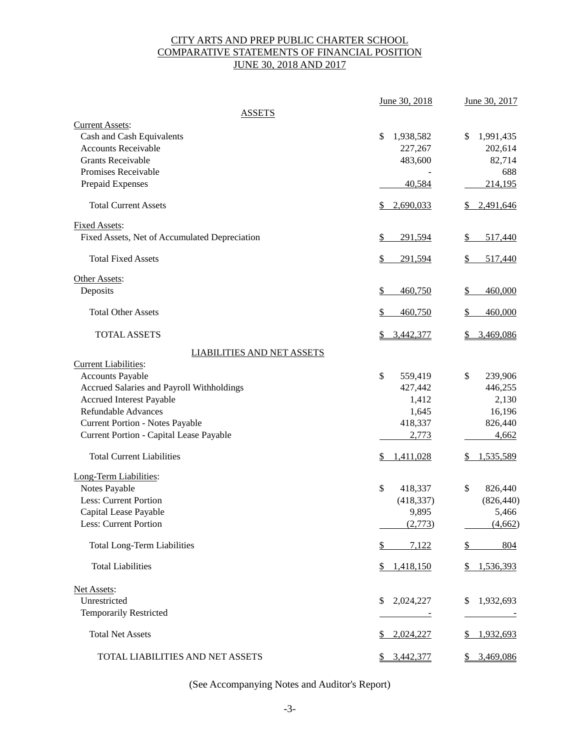# CITY ARTS AND PREP PUBLIC CHARTER SCHOOL COMPARATIVE STATEMENTS OF FINANCIAL POSITION JUNE 30, 2018 AND 2017

|                                                | June 30, 2018         | June 30, 2017            |
|------------------------------------------------|-----------------------|--------------------------|
| <b>ASSETS</b>                                  |                       |                          |
| <b>Current Assets:</b>                         |                       |                          |
| Cash and Cash Equivalents                      | \$<br>1,938,582       | \$<br>1,991,435          |
| <b>Accounts Receivable</b>                     | 227,267               | 202,614                  |
| <b>Grants Receivable</b>                       | 483,600               | 82,714                   |
| Promises Receivable                            |                       | 688                      |
| Prepaid Expenses                               | 40,584                | 214,195                  |
| <b>Total Current Assets</b>                    | 2,690,033<br>S.       | 2,491,646                |
| Fixed Assets:                                  |                       |                          |
| Fixed Assets, Net of Accumulated Depreciation  | \$<br>291,594         | $\frac{1}{2}$<br>517,440 |
| <b>Total Fixed Assets</b>                      | \$<br>291,594         | $\frac{1}{2}$<br>517,440 |
| Other Assets:                                  |                       |                          |
| Deposits                                       | \$<br>460,750         | 460,000<br>\$            |
| <b>Total Other Assets</b>                      | 460,750<br>S          | \$<br>460,000            |
| <b>TOTAL ASSETS</b>                            | 3,442,377<br>S.       | 3,469,086                |
| <b>LIABILITIES AND NET ASSETS</b>              |                       |                          |
| <b>Current Liabilities:</b>                    |                       |                          |
| <b>Accounts Payable</b>                        | \$<br>559,419         | \$<br>239,906            |
| Accrued Salaries and Payroll Withholdings      | 427,442               | 446,255                  |
| <b>Accrued Interest Payable</b>                | 1,412                 | 2,130                    |
| <b>Refundable Advances</b>                     | 1,645                 | 16,196                   |
| <b>Current Portion - Notes Payable</b>         | 418,337               | 826,440                  |
| <b>Current Portion - Capital Lease Payable</b> | 2,773                 | 4,662                    |
| <b>Total Current Liabilities</b>               | \$1,411,028           | 1,535,589                |
| Long-Term Liabilities:                         |                       |                          |
| Notes Payable                                  | \$<br>418,337         | \$<br>826,440            |
| Less: Current Portion                          | (418, 337)            | (826, 440)               |
| Capital Lease Payable                          | 9,895                 | 5,466                    |
| Less: Current Portion                          | (2,773)               | (4,662)                  |
|                                                |                       |                          |
| <b>Total Long-Term Liabilities</b>             | 7,122<br>\$           | \$<br>804                |
| <b>Total Liabilities</b>                       | \$1,418,150           | 1,536,393<br>S.          |
| Net Assets:                                    |                       |                          |
| Unrestricted                                   | 2,024,227<br>S.       | 1,932,693<br>S.          |
| <b>Temporarily Restricted</b>                  |                       |                          |
| <b>Total Net Assets</b>                        | $\frac{$2,024,227}{}$ | 1,932,693                |
| TOTAL LIABILITIES AND NET ASSETS               | 3,442,377<br>S.       | 3,469,086                |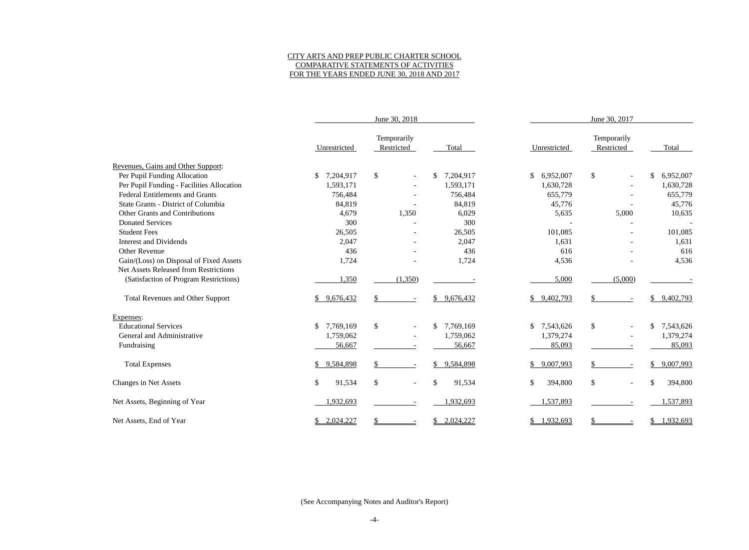#### CITY ARTS AND PREP PUBLIC CHARTER SCHOOL COMPARATIVE STATEMENTS OF ACTIVITIES FOR THE YEARS ENDED JUNE 30, 2018 AND 2017

|                                              | June 30, 2018               |                                |                 | June 30, 2017          |                                                       |                                      |  |
|----------------------------------------------|-----------------------------|--------------------------------|-----------------|------------------------|-------------------------------------------------------|--------------------------------------|--|
|                                              | Unrestricted                | Temporarily<br>Restricted      | Total           | Unrestricted           | Temporarily<br>Restricted                             | Total                                |  |
|                                              |                             |                                |                 |                        |                                                       |                                      |  |
| Revenues, Gains and Other Support:           |                             |                                |                 |                        |                                                       |                                      |  |
| Per Pupil Funding Allocation                 | \$<br>7,204,917             | \$<br>$\sim$                   | \$<br>7,204,917 | \$<br>6,952,007        | \$                                                    | \$<br>6,952,007                      |  |
| Per Pupil Funding - Facilities Allocation    | 1,593,171                   |                                | 1,593,171       | 1,630,728              |                                                       | 1,630,728                            |  |
| <b>Federal Entitlements and Grants</b>       | 756,484                     |                                | 756,484         | 655,779                |                                                       | 655,779                              |  |
| <b>State Grants - District of Columbia</b>   | 84,819                      |                                | 84,819          | 45,776                 |                                                       | 45,776                               |  |
| Other Grants and Contributions               | 4,679                       | 1,350                          | 6,029           | 5,635                  | 5,000                                                 | 10,635                               |  |
| <b>Donated Services</b>                      | 300                         |                                | 300             |                        |                                                       |                                      |  |
| <b>Student Fees</b>                          | 26,505                      |                                | 26,505          | 101,085                |                                                       | 101,085                              |  |
| <b>Interest and Dividends</b>                | 2,047                       |                                | 2,047           | 1,631                  |                                                       | 1,631                                |  |
| <b>Other Revenue</b>                         | 436                         |                                | 436             | 616                    |                                                       | 616                                  |  |
| Gain/(Loss) on Disposal of Fixed Assets      | 1,724                       |                                | 1,724           | 4,536                  |                                                       | 4,536                                |  |
| <b>Net Assets Released from Restrictions</b> |                             |                                |                 |                        |                                                       |                                      |  |
| (Satisfaction of Program Restrictions)       | 1,350                       | (1,350)                        |                 | 5,000                  | (5,000)                                               |                                      |  |
| <b>Total Revenues and Other Support</b>      | 9,676,432<br>S.             | $\overline{\phantom{a}}$       | \$<br>9,676,432 | \$9,402,793            |                                                       | \$<br>9,402,793                      |  |
| Expenses:                                    |                             |                                |                 |                        |                                                       |                                      |  |
| <b>Educational Services</b>                  | 7,769,169<br>\$             | \$                             | \$<br>7,769,169 | 7,543,626<br>\$        | $\boldsymbol{\mathsf{S}}$                             | \$<br>7,543,626                      |  |
| General and Administrative                   | 1,759,062                   |                                | 1,759,062       | 1,379,274              |                                                       | 1,379,274                            |  |
| Fundraising                                  | 56,667                      |                                | 56,667          | 85,093                 |                                                       | 85,093                               |  |
| <b>Total Expenses</b>                        | 9,584,898<br>\$             |                                | \$<br>9,584,898 | \$9,007,993            |                                                       | \$<br>9,007,993                      |  |
| Changes in Net Assets                        | \$<br>91,534                | \$<br>$\overline{\phantom{a}}$ | \$<br>91,534    | \$<br>394,800          | $\boldsymbol{\mathsf{S}}$<br>$\overline{\phantom{a}}$ | $\boldsymbol{\mathsf{S}}$<br>394,800 |  |
| Net Assets, Beginning of Year                | 1,932,693                   |                                | 1,932,693       | 1,537,893              |                                                       | 1,537,893                            |  |
| Net Assets, End of Year                      | 2,024,227<br>$\mathbb{S}^-$ |                                | 2,024,227<br>\$ | 1,932,693<br><u>\$</u> | \$                                                    | 1,932,693<br>\$                      |  |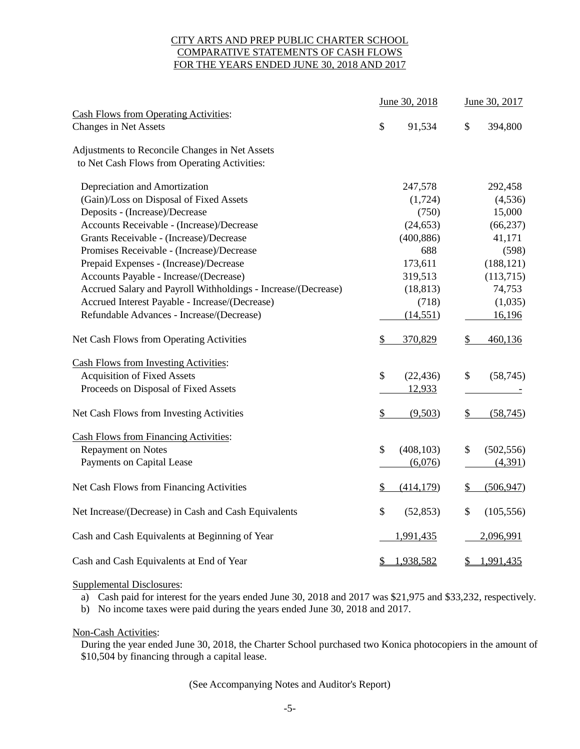# CITY ARTS AND PREP PUBLIC CHARTER SCHOOL COMPARATIVE STATEMENTS OF CASH FLOWS FOR THE YEARS ENDED JUNE 30, 2018 AND 2017

| <b>Cash Flows from Operating Activities:</b>                  |               | June 30, 2018 |    | June 30, 2017 |  |
|---------------------------------------------------------------|---------------|---------------|----|---------------|--|
| <b>Changes in Net Assets</b>                                  | $\mathcal{S}$ | 91,534        | \$ | 394,800       |  |
| Adjustments to Reconcile Changes in Net Assets                |               |               |    |               |  |
| to Net Cash Flows from Operating Activities:                  |               |               |    |               |  |
| Depreciation and Amortization                                 |               | 247,578       |    | 292,458       |  |
| (Gain)/Loss on Disposal of Fixed Assets                       |               | (1,724)       |    | (4,536)       |  |
| Deposits - (Increase)/Decrease                                |               | (750)         |    | 15,000        |  |
| Accounts Receivable - (Increase)/Decrease                     |               | (24, 653)     |    | (66, 237)     |  |
| Grants Receivable - (Increase)/Decrease                       |               | (400, 886)    |    | 41,171        |  |
| Promises Receivable - (Increase)/Decrease                     |               | 688           |    | (598)         |  |
| Prepaid Expenses - (Increase)/Decrease                        |               | 173,611       |    | (188, 121)    |  |
| Accounts Payable - Increase/(Decrease)                        |               | 319,513       |    | (113,715)     |  |
| Accrued Salary and Payroll Withholdings - Increase/(Decrease) |               | (18, 813)     |    | 74,753        |  |
| Accrued Interest Payable - Increase/(Decrease)                |               | (718)         |    | (1,035)       |  |
| Refundable Advances - Increase/(Decrease)                     |               | (14, 551)     |    | 16,196        |  |
| Net Cash Flows from Operating Activities                      | \$            | 370,829       | \$ | 460,136       |  |
| <b>Cash Flows from Investing Activities:</b>                  |               |               |    |               |  |
| <b>Acquisition of Fixed Assets</b>                            | \$            | (22, 436)     | \$ | (58, 745)     |  |
| Proceeds on Disposal of Fixed Assets                          |               | 12,933        |    |               |  |
| Net Cash Flows from Investing Activities                      | \$            | (9,503)       | \$ | (58, 745)     |  |
| <b>Cash Flows from Financing Activities:</b>                  |               |               |    |               |  |
| Repayment on Notes                                            | \$            | (408, 103)    | \$ | (502, 556)    |  |
| Payments on Capital Lease                                     |               | (6,076)       |    | (4,391)       |  |
| Net Cash Flows from Financing Activities                      | \$            | (414, 179)    |    | (506, 947)    |  |
| Net Increase/(Decrease) in Cash and Cash Equivalents          | \$            | (52, 853)     | \$ | (105, 556)    |  |
| Cash and Cash Equivalents at Beginning of Year                |               | 1,991,435     |    | 2,096,991     |  |
| Cash and Cash Equivalents at End of Year                      | \$            | 1,938,582     | \$ | 1,991,435     |  |

Supplemental Disclosures:

- a) Cash paid for interest for the years ended June 30, 2018 and 2017 was \$21,975 and \$33,232, respectively.
- b) No income taxes were paid during the years ended June 30, 2018 and 2017.

# Non-Cash Activities:

During the year ended June 30, 2018, the Charter School purchased two Konica photocopiers in the amount of \$10,504 by financing through a capital lease.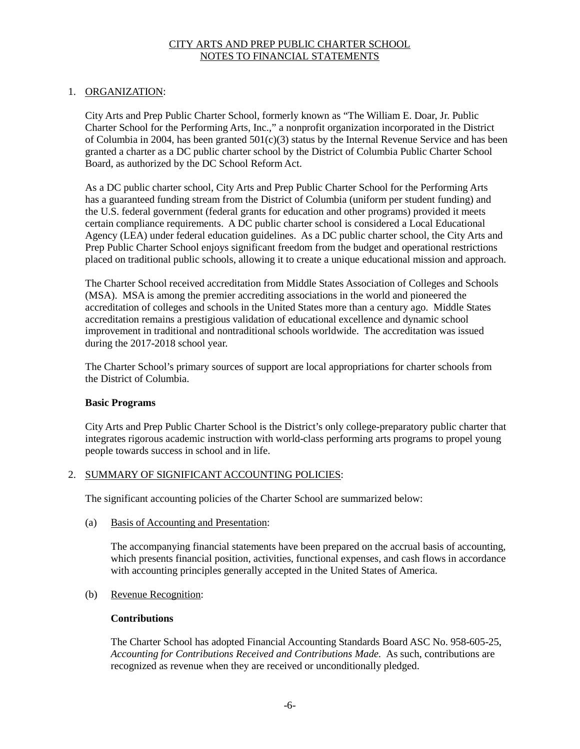## 1. ORGANIZATION:

City Arts and Prep Public Charter School, formerly known as "The William E. Doar, Jr. Public Charter School for the Performing Arts, Inc.," a nonprofit organization incorporated in the District of Columbia in 2004, has been granted  $501(c)(3)$  status by the Internal Revenue Service and has been granted a charter as a DC public charter school by the District of Columbia Public Charter School Board, as authorized by the DC School Reform Act.

As a DC public charter school, City Arts and Prep Public Charter School for the Performing Arts has a guaranteed funding stream from the District of Columbia (uniform per student funding) and the U.S. federal government (federal grants for education and other programs) provided it meets certain compliance requirements. A DC public charter school is considered a Local Educational Agency (LEA) under federal education guidelines. As a DC public charter school, the City Arts and Prep Public Charter School enjoys significant freedom from the budget and operational restrictions placed on traditional public schools, allowing it to create a unique educational mission and approach.

The Charter School received accreditation from Middle States Association of Colleges and Schools (MSA). MSA is among the premier accrediting associations in the world and pioneered the accreditation of colleges and schools in the United States more than a century ago. Middle States accreditation remains a prestigious validation of educational excellence and dynamic school improvement in traditional and nontraditional schools worldwide. The accreditation was issued during the 2017-2018 school year.

The Charter School's primary sources of support are local appropriations for charter schools from the District of Columbia.

## **Basic Programs**

City Arts and Prep Public Charter School is the District's only college-preparatory public charter that integrates rigorous academic instruction with world-class performing arts programs to propel young people towards success in school and in life.

## 2. SUMMARY OF SIGNIFICANT ACCOUNTING POLICIES:

The significant accounting policies of the Charter School are summarized below:

(a) Basis of Accounting and Presentation:

The accompanying financial statements have been prepared on the accrual basis of accounting, which presents financial position, activities, functional expenses, and cash flows in accordance with accounting principles generally accepted in the United States of America.

(b) Revenue Recognition:

#### **Contributions**

The Charter School has adopted Financial Accounting Standards Board ASC No. 958-605-25, *Accounting for Contributions Received and Contributions Made.* As such, contributions are recognized as revenue when they are received or unconditionally pledged.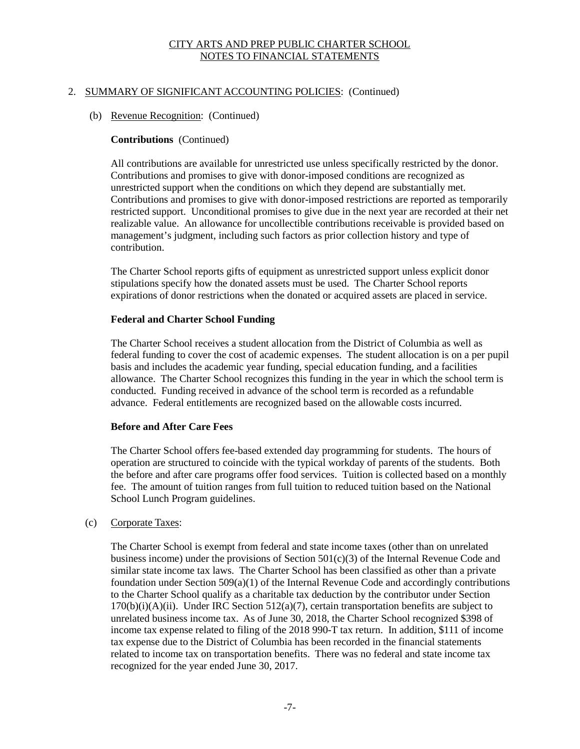# 2. SUMMARY OF SIGNIFICANT ACCOUNTING POLICIES: (Continued)

#### (b) Revenue Recognition: (Continued)

#### **Contributions** (Continued)

All contributions are available for unrestricted use unless specifically restricted by the donor. Contributions and promises to give with donor-imposed conditions are recognized as unrestricted support when the conditions on which they depend are substantially met. Contributions and promises to give with donor-imposed restrictions are reported as temporarily restricted support. Unconditional promises to give due in the next year are recorded at their net realizable value. An allowance for uncollectible contributions receivable is provided based on management's judgment, including such factors as prior collection history and type of contribution.

The Charter School reports gifts of equipment as unrestricted support unless explicit donor stipulations specify how the donated assets must be used. The Charter School reports expirations of donor restrictions when the donated or acquired assets are placed in service.

#### **Federal and Charter School Funding**

The Charter School receives a student allocation from the District of Columbia as well as federal funding to cover the cost of academic expenses. The student allocation is on a per pupil basis and includes the academic year funding, special education funding, and a facilities allowance. The Charter School recognizes this funding in the year in which the school term is conducted. Funding received in advance of the school term is recorded as a refundable advance. Federal entitlements are recognized based on the allowable costs incurred.

## **Before and After Care Fees**

The Charter School offers fee-based extended day programming for students. The hours of operation are structured to coincide with the typical workday of parents of the students. Both the before and after care programs offer food services. Tuition is collected based on a monthly fee. The amount of tuition ranges from full tuition to reduced tuition based on the National School Lunch Program guidelines.

#### (c) Corporate Taxes:

The Charter School is exempt from federal and state income taxes (other than on unrelated business income) under the provisions of Section  $501(c)(3)$  of the Internal Revenue Code and similar state income tax laws. The Charter School has been classified as other than a private foundation under Section 509(a)(1) of the Internal Revenue Code and accordingly contributions to the Charter School qualify as a charitable tax deduction by the contributor under Section  $170(b)(i)(A)(ii)$ . Under IRC Section  $512(a)(7)$ , certain transportation benefits are subject to unrelated business income tax. As of June 30, 2018, the Charter School recognized \$398 of income tax expense related to filing of the 2018 990-T tax return. In addition, \$111 of income tax expense due to the District of Columbia has been recorded in the financial statements related to income tax on transportation benefits. There was no federal and state income tax recognized for the year ended June 30, 2017.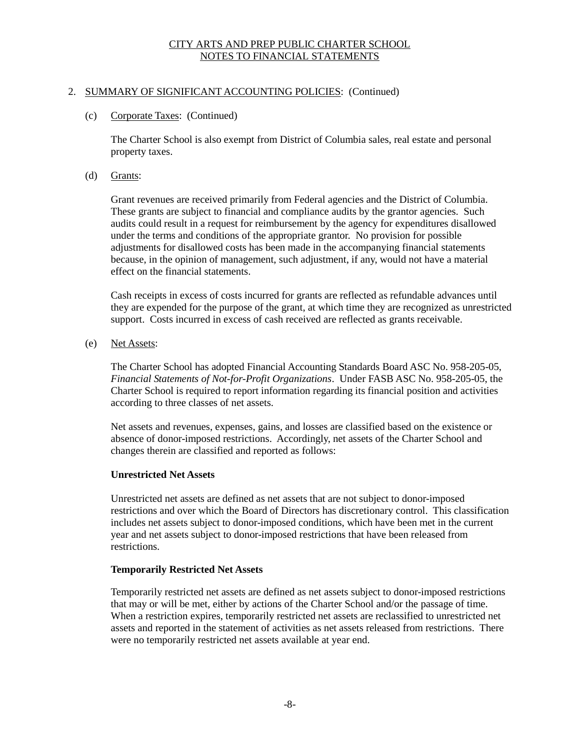# 2. SUMMARY OF SIGNIFICANT ACCOUNTING POLICIES: (Continued)

## (c) Corporate Taxes: (Continued)

The Charter School is also exempt from District of Columbia sales, real estate and personal property taxes.

#### (d) Grants:

Grant revenues are received primarily from Federal agencies and the District of Columbia. These grants are subject to financial and compliance audits by the grantor agencies. Such audits could result in a request for reimbursement by the agency for expenditures disallowed under the terms and conditions of the appropriate grantor. No provision for possible adjustments for disallowed costs has been made in the accompanying financial statements because, in the opinion of management, such adjustment, if any, would not have a material effect on the financial statements.

Cash receipts in excess of costs incurred for grants are reflected as refundable advances until they are expended for the purpose of the grant, at which time they are recognized as unrestricted support. Costs incurred in excess of cash received are reflected as grants receivable.

#### (e) Net Assets:

The Charter School has adopted Financial Accounting Standards Board ASC No. 958-205-05, *Financial Statements of Not-for-Profit Organizations*. Under FASB ASC No. 958-205-05, the Charter School is required to report information regarding its financial position and activities according to three classes of net assets.

Net assets and revenues, expenses, gains, and losses are classified based on the existence or absence of donor-imposed restrictions. Accordingly, net assets of the Charter School and changes therein are classified and reported as follows:

#### **Unrestricted Net Assets**

Unrestricted net assets are defined as net assets that are not subject to donor-imposed restrictions and over which the Board of Directors has discretionary control. This classification includes net assets subject to donor-imposed conditions, which have been met in the current year and net assets subject to donor-imposed restrictions that have been released from restrictions.

## **Temporarily Restricted Net Assets**

Temporarily restricted net assets are defined as net assets subject to donor-imposed restrictions that may or will be met, either by actions of the Charter School and/or the passage of time. When a restriction expires, temporarily restricted net assets are reclassified to unrestricted net assets and reported in the statement of activities as net assets released from restrictions. There were no temporarily restricted net assets available at year end.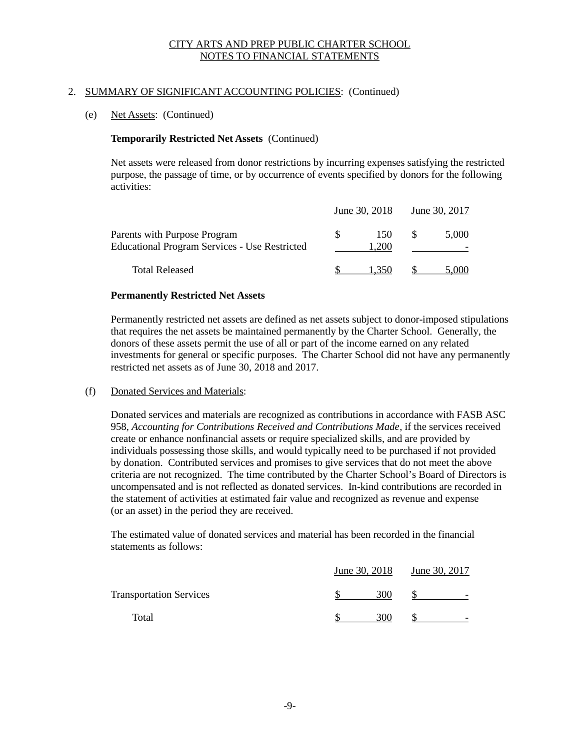# 2. SUMMARY OF SIGNIFICANT ACCOUNTING POLICIES: (Continued)

(e) Net Assets: (Continued)

## **Temporarily Restricted Net Assets** (Continued)

Net assets were released from donor restrictions by incurring expenses satisfying the restricted purpose, the passage of time, or by occurrence of events specified by donors for the following activities:

|                                                                                      |  | June 30, 2018 |  | June 30, 2017 |  |
|--------------------------------------------------------------------------------------|--|---------------|--|---------------|--|
| Parents with Purpose Program<br><b>Educational Program Services - Use Restricted</b> |  | 150<br>1.200  |  | 5,000         |  |
| <b>Total Released</b>                                                                |  | 1.350         |  | 5,000         |  |

#### **Permanently Restricted Net Assets**

Permanently restricted net assets are defined as net assets subject to donor-imposed stipulations that requires the net assets be maintained permanently by the Charter School. Generally, the donors of these assets permit the use of all or part of the income earned on any related investments for general or specific purposes. The Charter School did not have any permanently restricted net assets as of June 30, 2018 and 2017.

#### (f) Donated Services and Materials:

Donated services and materials are recognized as contributions in accordance with FASB ASC 958, *Accounting for Contributions Received and Contributions Made*, if the services received create or enhance nonfinancial assets or require specialized skills, and are provided by individuals possessing those skills, and would typically need to be purchased if not provided by donation. Contributed services and promises to give services that do not meet the above criteria are not recognized. The time contributed by the Charter School's Board of Directors is uncompensated and is not reflected as donated services. In-kind contributions are recorded in the statement of activities at estimated fair value and recognized as revenue and expense (or an asset) in the period they are received.

The estimated value of donated services and material has been recorded in the financial statements as follows:

|                                | June 30, 2018 | June 30, 2017 |  |   |
|--------------------------------|---------------|---------------|--|---|
| <b>Transportation Services</b> |               | 300           |  |   |
| Total                          |               | 300           |  | - |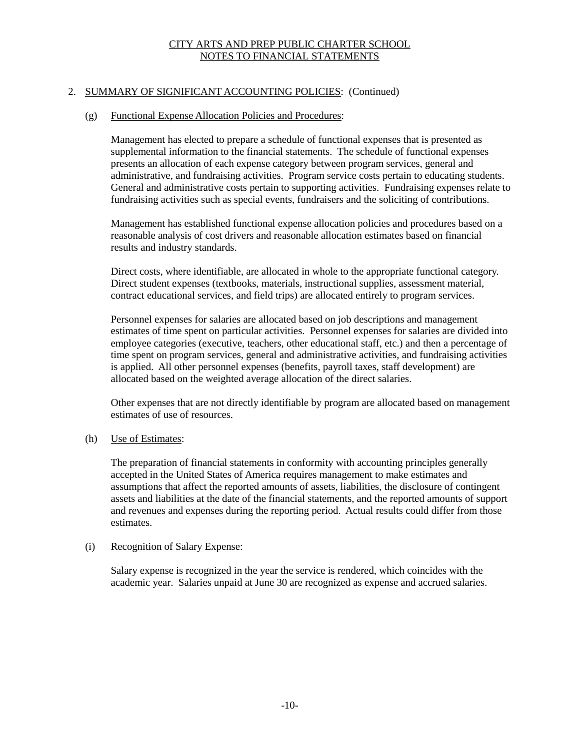# 2. SUMMARY OF SIGNIFICANT ACCOUNTING POLICIES: (Continued)

#### (g) Functional Expense Allocation Policies and Procedures:

Management has elected to prepare a schedule of functional expenses that is presented as supplemental information to the financial statements. The schedule of functional expenses presents an allocation of each expense category between program services, general and administrative, and fundraising activities. Program service costs pertain to educating students. General and administrative costs pertain to supporting activities. Fundraising expenses relate to fundraising activities such as special events, fundraisers and the soliciting of contributions.

Management has established functional expense allocation policies and procedures based on a reasonable analysis of cost drivers and reasonable allocation estimates based on financial results and industry standards.

Direct costs, where identifiable, are allocated in whole to the appropriate functional category. Direct student expenses (textbooks, materials, instructional supplies, assessment material, contract educational services, and field trips) are allocated entirely to program services.

Personnel expenses for salaries are allocated based on job descriptions and management estimates of time spent on particular activities. Personnel expenses for salaries are divided into employee categories (executive, teachers, other educational staff, etc.) and then a percentage of time spent on program services, general and administrative activities, and fundraising activities is applied. All other personnel expenses (benefits, payroll taxes, staff development) are allocated based on the weighted average allocation of the direct salaries.

Other expenses that are not directly identifiable by program are allocated based on management estimates of use of resources.

#### (h) Use of Estimates:

The preparation of financial statements in conformity with accounting principles generally accepted in the United States of America requires management to make estimates and assumptions that affect the reported amounts of assets, liabilities, the disclosure of contingent assets and liabilities at the date of the financial statements, and the reported amounts of support and revenues and expenses during the reporting period. Actual results could differ from those estimates.

#### (i) Recognition of Salary Expense:

Salary expense is recognized in the year the service is rendered, which coincides with the academic year. Salaries unpaid at June 30 are recognized as expense and accrued salaries.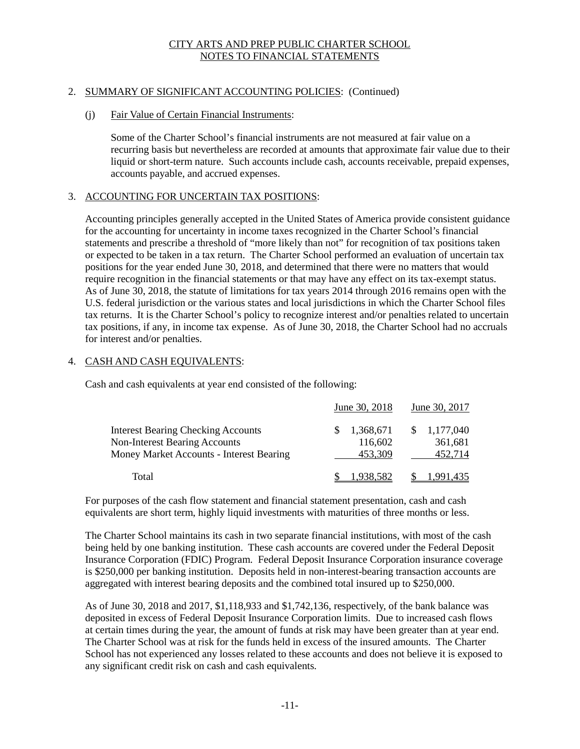# 2. SUMMARY OF SIGNIFICANT ACCOUNTING POLICIES: (Continued)

## (j) Fair Value of Certain Financial Instruments:

Some of the Charter School's financial instruments are not measured at fair value on a recurring basis but nevertheless are recorded at amounts that approximate fair value due to their liquid or short-term nature. Such accounts include cash, accounts receivable, prepaid expenses, accounts payable, and accrued expenses.

## 3. ACCOUNTING FOR UNCERTAIN TAX POSITIONS:

Accounting principles generally accepted in the United States of America provide consistent guidance for the accounting for uncertainty in income taxes recognized in the Charter School's financial statements and prescribe a threshold of "more likely than not" for recognition of tax positions taken or expected to be taken in a tax return. The Charter School performed an evaluation of uncertain tax positions for the year ended June 30, 2018, and determined that there were no matters that would require recognition in the financial statements or that may have any effect on its tax-exempt status. As of June 30, 2018, the statute of limitations for tax years 2014 through 2016 remains open with the U.S. federal jurisdiction or the various states and local jurisdictions in which the Charter School files tax returns. It is the Charter School's policy to recognize interest and/or penalties related to uncertain tax positions, if any, in income tax expense. As of June 30, 2018, the Charter School had no accruals for interest and/or penalties.

## 4. CASH AND CASH EQUIVALENTS:

Cash and cash equivalents at year end consisted of the following:

|                                                                                                                               | June 30, 2018                         | June 30, 2017                     |  |  |
|-------------------------------------------------------------------------------------------------------------------------------|---------------------------------------|-----------------------------------|--|--|
| <b>Interest Bearing Checking Accounts</b><br><b>Non-Interest Bearing Accounts</b><br>Money Market Accounts - Interest Bearing | 1,368,671<br>S.<br>116,602<br>453,309 | \$1,177,040<br>361,681<br>452,714 |  |  |
| Total                                                                                                                         | 1,938,582                             | 1.991.435                         |  |  |

For purposes of the cash flow statement and financial statement presentation, cash and cash equivalents are short term, highly liquid investments with maturities of three months or less.

The Charter School maintains its cash in two separate financial institutions, with most of the cash being held by one banking institution. These cash accounts are covered under the Federal Deposit Insurance Corporation (FDIC) Program. Federal Deposit Insurance Corporation insurance coverage is \$250,000 per banking institution. Deposits held in non-interest-bearing transaction accounts are aggregated with interest bearing deposits and the combined total insured up to \$250,000.

As of June 30, 2018 and 2017, \$1,118,933 and \$1,742,136, respectively, of the bank balance was deposited in excess of Federal Deposit Insurance Corporation limits. Due to increased cash flows at certain times during the year, the amount of funds at risk may have been greater than at year end. The Charter School was at risk for the funds held in excess of the insured amounts. The Charter School has not experienced any losses related to these accounts and does not believe it is exposed to any significant credit risk on cash and cash equivalents.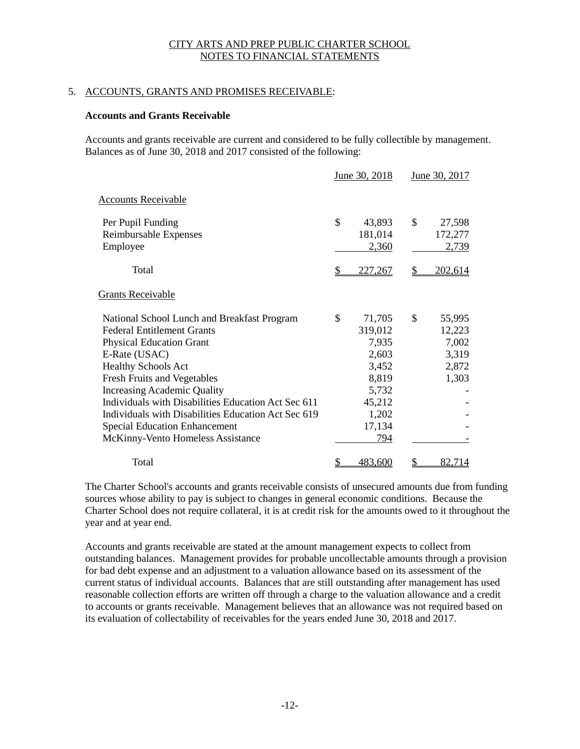# 5. ACCOUNTS, GRANTS AND PROMISES RECEIVABLE:

## **Accounts and Grants Receivable**

Accounts and grants receivable are current and considered to be fully collectible by management. Balances as of June 30, 2018 and 2017 consisted of the following:

|                                                                                                                                                                                                                                                                                                                                                                                                                                           | June 30, 2018                                                                                            | June 30, 2017                                              |  |
|-------------------------------------------------------------------------------------------------------------------------------------------------------------------------------------------------------------------------------------------------------------------------------------------------------------------------------------------------------------------------------------------------------------------------------------------|----------------------------------------------------------------------------------------------------------|------------------------------------------------------------|--|
| <b>Accounts Receivable</b>                                                                                                                                                                                                                                                                                                                                                                                                                |                                                                                                          |                                                            |  |
| Per Pupil Funding<br>Reimbursable Expenses<br>Employee                                                                                                                                                                                                                                                                                                                                                                                    | \$<br>43,893<br>181,014<br>2,360                                                                         | $\mathcal{S}$<br>27,598<br>172,277<br>2,739                |  |
| Total                                                                                                                                                                                                                                                                                                                                                                                                                                     | \$<br>227,267                                                                                            | \$<br>202,614                                              |  |
| <b>Grants Receivable</b>                                                                                                                                                                                                                                                                                                                                                                                                                  |                                                                                                          |                                                            |  |
| National School Lunch and Breakfast Program<br><b>Federal Entitlement Grants</b><br><b>Physical Education Grant</b><br>E-Rate (USAC)<br><b>Healthy Schools Act</b><br><b>Fresh Fruits and Vegetables</b><br><b>Increasing Academic Quality</b><br>Individuals with Disabilities Education Act Sec 611<br>Individuals with Disabilities Education Act Sec 619<br><b>Special Education Enhancement</b><br>McKinny-Vento Homeless Assistance | \$<br>71,705<br>319,012<br>7,935<br>2,603<br>3,452<br>8,819<br>5,732<br>45,212<br>1,202<br>17,134<br>794 | \$<br>55,995<br>12,223<br>7,002<br>3,319<br>2,872<br>1,303 |  |
| Total                                                                                                                                                                                                                                                                                                                                                                                                                                     | \$<br>483,600                                                                                            | \$<br>82,714                                               |  |

The Charter School's accounts and grants receivable consists of unsecured amounts due from funding sources whose ability to pay is subject to changes in general economic conditions. Because the Charter School does not require collateral, it is at credit risk for the amounts owed to it throughout the year and at year end.

Accounts and grants receivable are stated at the amount management expects to collect from outstanding balances. Management provides for probable uncollectable amounts through a provision for bad debt expense and an adjustment to a valuation allowance based on its assessment of the current status of individual accounts. Balances that are still outstanding after management has used reasonable collection efforts are written off through a charge to the valuation allowance and a credit to accounts or grants receivable. Management believes that an allowance was not required based on its evaluation of collectability of receivables for the years ended June 30, 2018 and 2017.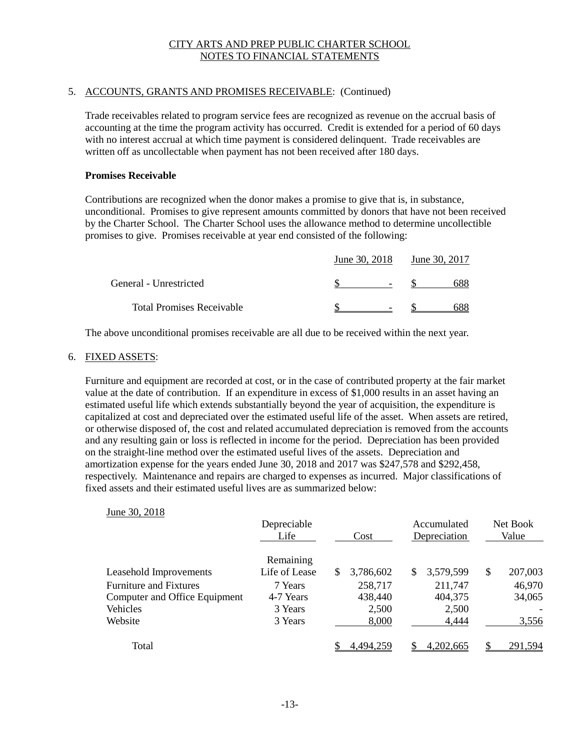# 5. ACCOUNTS, GRANTS AND PROMISES RECEIVABLE: (Continued)

Trade receivables related to program service fees are recognized as revenue on the accrual basis of accounting at the time the program activity has occurred. Credit is extended for a period of 60 days with no interest accrual at which time payment is considered delinquent. Trade receivables are written off as uncollectable when payment has not been received after 180 days.

#### **Promises Receivable**

Contributions are recognized when the donor makes a promise to give that is, in substance, unconditional. Promises to give represent amounts committed by donors that have not been received by the Charter School. The Charter School uses the allowance method to determine uncollectible promises to give. Promises receivable at year end consisted of the following:

|                                  | June 30, 2018 | June 30, 2017            |  |     |
|----------------------------------|---------------|--------------------------|--|-----|
| General - Unrestricted           |               | $\overline{\phantom{0}}$ |  | 688 |
| <b>Total Promises Receivable</b> |               | $\overline{\phantom{0}}$ |  |     |

The above unconditional promises receivable are all due to be received within the next year.

## 6. FIXED ASSETS:

Furniture and equipment are recorded at cost, or in the case of contributed property at the fair market value at the date of contribution. If an expenditure in excess of \$1,000 results in an asset having an estimated useful life which extends substantially beyond the year of acquisition, the expenditure is capitalized at cost and depreciated over the estimated useful life of the asset. When assets are retired, or otherwise disposed of, the cost and related accumulated depreciation is removed from the accounts and any resulting gain or loss is reflected in income for the period. Depreciation has been provided on the straight-line method over the estimated useful lives of the assets. Depreciation and amortization expense for the years ended June 30, 2018 and 2017 was \$247,578 and \$292,458, respectively. Maintenance and repairs are charged to expenses as incurred. Major classifications of fixed assets and their estimated useful lives are as summarized below:

#### June 30, 2018

|                               | Depreciable<br>Life | Cost      | Accumulated<br>Depreciation | Net Book<br>Value |
|-------------------------------|---------------------|-----------|-----------------------------|-------------------|
|                               | Remaining           |           |                             |                   |
| Leasehold Improvements        | Life of Lease       | 3,786,602 | 3,579,599<br>S.             | 207,003<br>S      |
| <b>Furniture and Fixtures</b> | 7 Years             | 258,717   | 211,747                     | 46,970            |
| Computer and Office Equipment | 4-7 Years           | 438,440   | 404,375                     | 34,065            |
| Vehicles                      | 3 Years             | 2,500     | 2,500                       |                   |
| Website                       | 3 Years             | 8,000     | 4,444                       | 3,556             |
| Total                         |                     | 4,494,259 | 4,202,665                   | 291,594           |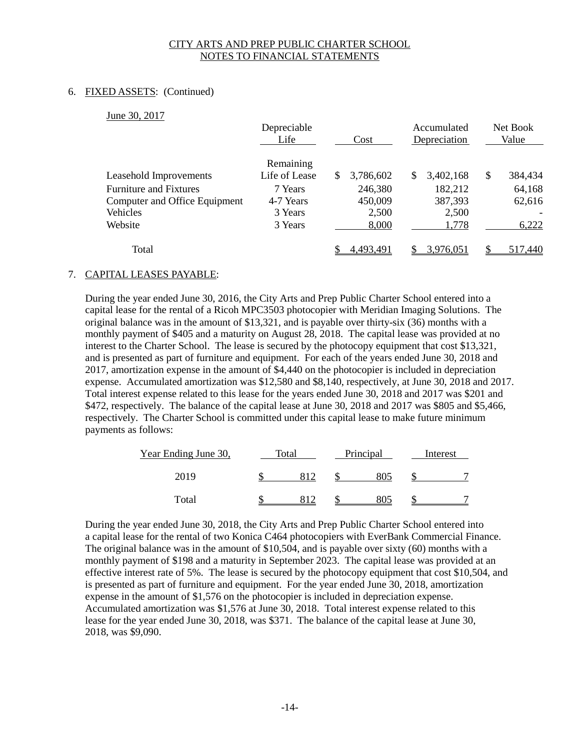# 6. FIXED ASSETS: (Continued)

June 30, 2017

|                               | Depreciable<br>Life | Cost           | Accumulated<br>Depreciation | Net Book<br>Value |
|-------------------------------|---------------------|----------------|-----------------------------|-------------------|
|                               | Remaining           |                |                             |                   |
| Leasehold Improvements        | Life of Lease       | 3,786,602<br>S | 3,402,168<br>S              | 384,434<br>S      |
| <b>Furniture and Fixtures</b> | 7 Years             | 246,380        | 182,212                     | 64,168            |
| Computer and Office Equipment | 4-7 Years           | 450,009        | 387,393                     | 62,616            |
| Vehicles                      | 3 Years             | 2,500          | 2,500                       |                   |
| Website                       | 3 Years             | 8,000          | 1,778                       | 6,222             |
| Total                         |                     | 4,493,491      | 3,976,051<br>S.             | 517,440           |

# 7. CAPITAL LEASES PAYABLE:

During the year ended June 30, 2016, the City Arts and Prep Public Charter School entered into a capital lease for the rental of a Ricoh MPC3503 photocopier with Meridian Imaging Solutions. The original balance was in the amount of \$13,321, and is payable over thirty-six (36) months with a monthly payment of \$405 and a maturity on August 28, 2018. The capital lease was provided at no interest to the Charter School. The lease is secured by the photocopy equipment that cost \$13,321, and is presented as part of furniture and equipment. For each of the years ended June 30, 2018 and 2017, amortization expense in the amount of \$4,440 on the photocopier is included in depreciation expense. Accumulated amortization was \$12,580 and \$8,140, respectively, at June 30, 2018 and 2017. Total interest expense related to this lease for the years ended June 30, 2018 and 2017 was \$201 and \$472, respectively. The balance of the capital lease at June 30, 2018 and 2017 was \$805 and \$5,466, respectively. The Charter School is committed under this capital lease to make future minimum payments as follows:

| Year Ending June 30, | Total |  | Principal |  | Interest |
|----------------------|-------|--|-----------|--|----------|
| 2019                 |       |  | 805       |  |          |
| Total                |       |  | 805       |  |          |

During the year ended June 30, 2018, the City Arts and Prep Public Charter School entered into a capital lease for the rental of two Konica C464 photocopiers with EverBank Commercial Finance. The original balance was in the amount of \$10,504, and is payable over sixty (60) months with a monthly payment of \$198 and a maturity in September 2023. The capital lease was provided at an effective interest rate of 5%. The lease is secured by the photocopy equipment that cost \$10,504, and is presented as part of furniture and equipment. For the year ended June 30, 2018, amortization expense in the amount of \$1,576 on the photocopier is included in depreciation expense. Accumulated amortization was \$1,576 at June 30, 2018. Total interest expense related to this lease for the year ended June 30, 2018, was \$371. The balance of the capital lease at June 30, 2018, was \$9,090.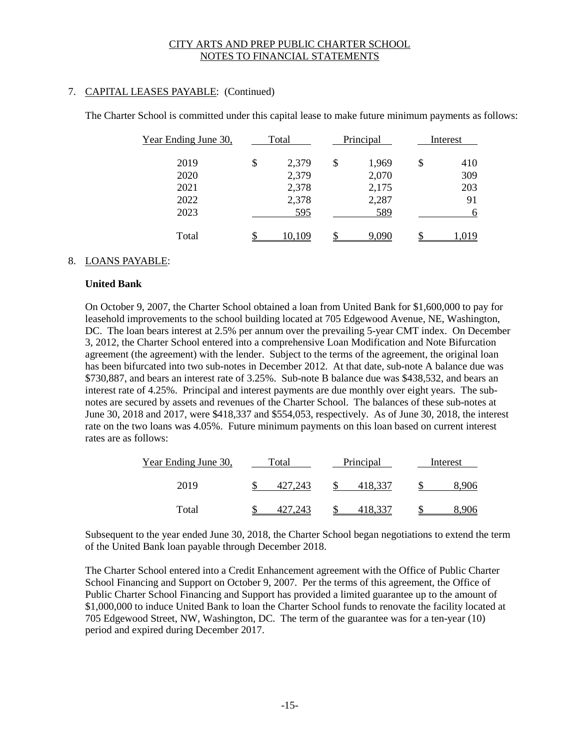# 7. CAPITAL LEASES PAYABLE: (Continued)

| Year Ending June 30, | Total       | Principal |       | Interest |       |  |
|----------------------|-------------|-----------|-------|----------|-------|--|
| 2019                 | \$<br>2,379 | \$        | 1,969 | \$       | 410   |  |
| 2020                 | 2,379       |           | 2,070 |          | 309   |  |
| 2021                 | 2,378       |           | 2,175 |          | 203   |  |
| 2022                 | 2,378       |           | 2,287 |          | 91    |  |
| 2023                 | 595         |           | 589   |          | 6     |  |
| Total                | 10.109      |           | 9.090 |          | 1.019 |  |

The Charter School is committed under this capital lease to make future minimum payments as follows:

## 8. LOANS PAYABLE:

#### **United Bank**

On October 9, 2007, the Charter School obtained a loan from United Bank for \$1,600,000 to pay for leasehold improvements to the school building located at 705 Edgewood Avenue, NE, Washington, DC. The loan bears interest at 2.5% per annum over the prevailing 5-year CMT index. On December 3, 2012, the Charter School entered into a comprehensive Loan Modification and Note Bifurcation agreement (the agreement) with the lender. Subject to the terms of the agreement, the original loan has been bifurcated into two sub-notes in December 2012. At that date, sub-note A balance due was \$730,887, and bears an interest rate of 3.25%. Sub-note B balance due was \$438,532, and bears an interest rate of 4.25%. Principal and interest payments are due monthly over eight years. The subnotes are secured by assets and revenues of the Charter School. The balances of these sub-notes at June 30, 2018 and 2017, were \$418,337 and \$554,053, respectively. As of June 30, 2018, the interest rate on the two loans was 4.05%. Future minimum payments on this loan based on current interest rates are as follows:

| Year Ending June 30, | Total   | Principal | Interest |
|----------------------|---------|-----------|----------|
| 2019                 | 427.243 | 418.337   | 8 906    |
| Total                |         |           |          |

Subsequent to the year ended June 30, 2018, the Charter School began negotiations to extend the term of the United Bank loan payable through December 2018.

The Charter School entered into a Credit Enhancement agreement with the Office of Public Charter School Financing and Support on October 9, 2007. Per the terms of this agreement, the Office of Public Charter School Financing and Support has provided a limited guarantee up to the amount of \$1,000,000 to induce United Bank to loan the Charter School funds to renovate the facility located at 705 Edgewood Street, NW, Washington, DC. The term of the guarantee was for a ten-year (10) period and expired during December 2017.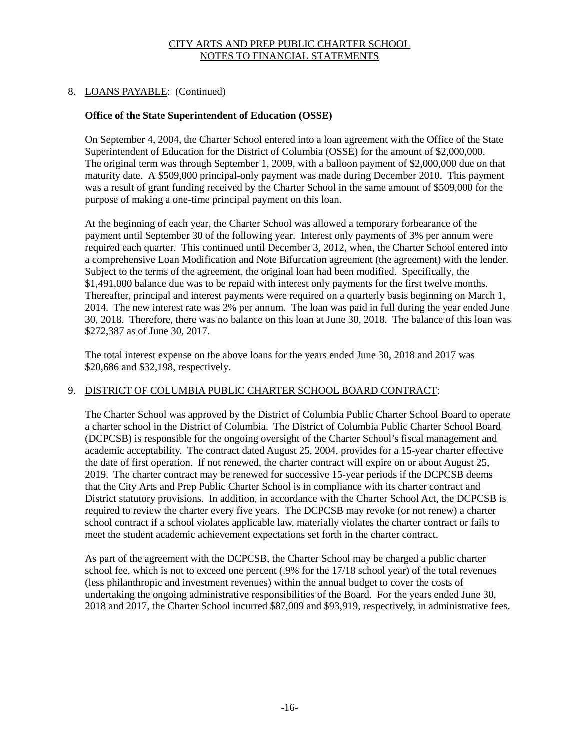# 8. LOANS PAYABLE: (Continued)

## **Office of the State Superintendent of Education (OSSE)**

On September 4, 2004, the Charter School entered into a loan agreement with the Office of the State Superintendent of Education for the District of Columbia (OSSE) for the amount of \$2,000,000. The original term was through September 1, 2009, with a balloon payment of \$2,000,000 due on that maturity date. A \$509,000 principal-only payment was made during December 2010. This payment was a result of grant funding received by the Charter School in the same amount of \$509,000 for the purpose of making a one-time principal payment on this loan.

At the beginning of each year, the Charter School was allowed a temporary forbearance of the payment until September 30 of the following year. Interest only payments of 3% per annum were required each quarter. This continued until December 3, 2012, when, the Charter School entered into a comprehensive Loan Modification and Note Bifurcation agreement (the agreement) with the lender. Subject to the terms of the agreement, the original loan had been modified. Specifically, the \$1,491,000 balance due was to be repaid with interest only payments for the first twelve months. Thereafter, principal and interest payments were required on a quarterly basis beginning on March 1, 2014. The new interest rate was 2% per annum. The loan was paid in full during the year ended June 30, 2018. Therefore, there was no balance on this loan at June 30, 2018. The balance of this loan was \$272,387 as of June 30, 2017.

The total interest expense on the above loans for the years ended June 30, 2018 and 2017 was \$20,686 and \$32,198, respectively.

## 9. DISTRICT OF COLUMBIA PUBLIC CHARTER SCHOOL BOARD CONTRACT:

The Charter School was approved by the District of Columbia Public Charter School Board to operate a charter school in the District of Columbia. The District of Columbia Public Charter School Board (DCPCSB) is responsible for the ongoing oversight of the Charter School's fiscal management and academic acceptability. The contract dated August 25, 2004, provides for a 15-year charter effective the date of first operation. If not renewed, the charter contract will expire on or about August 25, 2019. The charter contract may be renewed for successive 15-year periods if the DCPCSB deems that the City Arts and Prep Public Charter School is in compliance with its charter contract and District statutory provisions. In addition, in accordance with the Charter School Act, the DCPCSB is required to review the charter every five years. The DCPCSB may revoke (or not renew) a charter school contract if a school violates applicable law, materially violates the charter contract or fails to meet the student academic achievement expectations set forth in the charter contract.

As part of the agreement with the DCPCSB, the Charter School may be charged a public charter school fee, which is not to exceed one percent (.9% for the 17/18 school year) of the total revenues (less philanthropic and investment revenues) within the annual budget to cover the costs of undertaking the ongoing administrative responsibilities of the Board. For the years ended June 30, 2018 and 2017, the Charter School incurred \$87,009 and \$93,919, respectively, in administrative fees.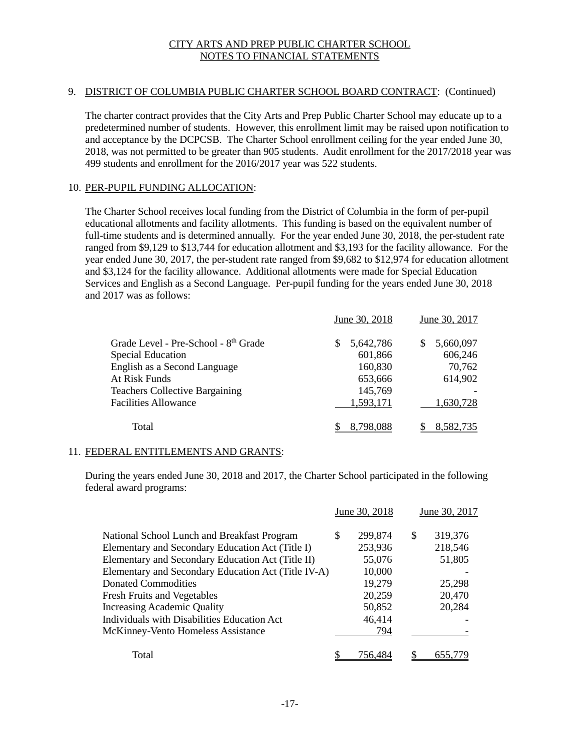# 9. DISTRICT OF COLUMBIA PUBLIC CHARTER SCHOOL BOARD CONTRACT: (Continued)

The charter contract provides that the City Arts and Prep Public Charter School may educate up to a predetermined number of students. However, this enrollment limit may be raised upon notification to and acceptance by the DCPCSB. The Charter School enrollment ceiling for the year ended June 30, 2018, was not permitted to be greater than 905 students. Audit enrollment for the 2017/2018 year was 499 students and enrollment for the 2016/2017 year was 522 students.

## 10. PER-PUPIL FUNDING ALLOCATION:

The Charter School receives local funding from the District of Columbia in the form of per-pupil educational allotments and facility allotments. This funding is based on the equivalent number of full-time students and is determined annually. For the year ended June 30, 2018, the per-student rate ranged from \$9,129 to \$13,744 for education allotment and \$3,193 for the facility allowance. For the year ended June 30, 2017, the per-student rate ranged from \$9,682 to \$12,974 for education allotment and \$3,124 for the facility allowance. Additional allotments were made for Special Education Services and English as a Second Language. Per-pupil funding for the years ended June 30, 2018 and 2017 was as follows:

|                                                          | June 30, 2018      | June 30, 2017     |
|----------------------------------------------------------|--------------------|-------------------|
| Grade Level - Pre-School - 8 <sup>th</sup> Grade         | 5,642,786<br>S.    | 5,660,097<br>S    |
| <b>Special Education</b><br>English as a Second Language | 601,866<br>160,830 | 606,246<br>70,762 |
| At Risk Funds<br><b>Teachers Collective Bargaining</b>   | 653,666<br>145,769 | 614,902           |
| <b>Facilities Allowance</b>                              | 1,593,171          | 1,630,728         |
| Total                                                    | 8,798,088          | 8.582.735         |

## 11. FEDERAL ENTITLEMENTS AND GRANTS:

During the years ended June 30, 2018 and 2017, the Charter School participated in the following federal award programs:

|                                                     |   | June 30, 2018 | June 30, 2017 |
|-----------------------------------------------------|---|---------------|---------------|
| National School Lunch and Breakfast Program         | S | 299,874       | \$<br>319,376 |
| Elementary and Secondary Education Act (Title I)    |   | 253,936       | 218,546       |
| Elementary and Secondary Education Act (Title II)   |   | 55,076        | 51,805        |
| Elementary and Secondary Education Act (Title IV-A) |   | 10,000        |               |
| Donated Commodities                                 |   | 19,279        | 25,298        |
| <b>Fresh Fruits and Vegetables</b>                  |   | 20,259        | 20,470        |
| <b>Increasing Academic Quality</b>                  |   | 50,852        | 20,284        |
| Individuals with Disabilities Education Act         |   | 46,414        |               |
| McKinney-Vento Homeless Assistance                  |   | 794           |               |
| Total                                               |   | 756.4         |               |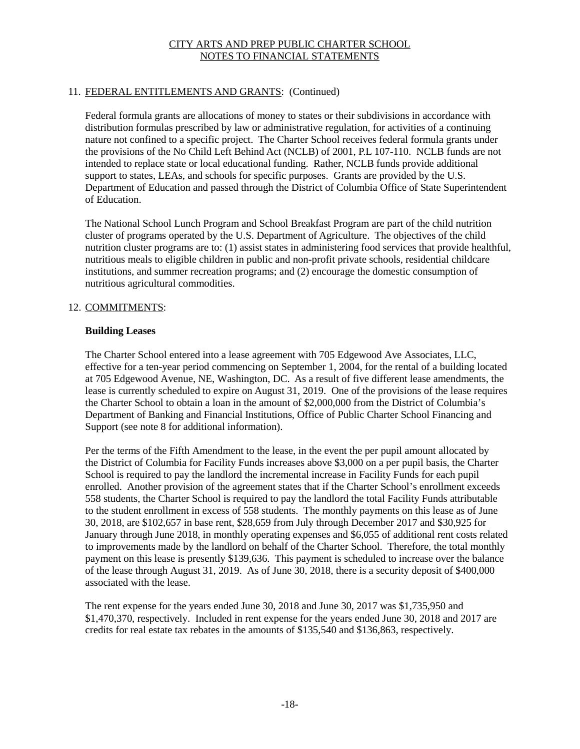# 11. FEDERAL ENTITLEMENTS AND GRANTS: (Continued)

Federal formula grants are allocations of money to states or their subdivisions in accordance with distribution formulas prescribed by law or administrative regulation, for activities of a continuing nature not confined to a specific project. The Charter School receives federal formula grants under the provisions of the No Child Left Behind Act (NCLB) of 2001, P.L 107-110. NCLB funds are not intended to replace state or local educational funding. Rather, NCLB funds provide additional support to states, LEAs, and schools for specific purposes. Grants are provided by the U.S. Department of Education and passed through the District of Columbia Office of State Superintendent of Education.

The National School Lunch Program and School Breakfast Program are part of the child nutrition cluster of programs operated by the U.S. Department of Agriculture. The objectives of the child nutrition cluster programs are to: (1) assist states in administering food services that provide healthful, nutritious meals to eligible children in public and non-profit private schools, residential childcare institutions, and summer recreation programs; and (2) encourage the domestic consumption of nutritious agricultural commodities.

# 12. COMMITMENTS:

# **Building Leases**

The Charter School entered into a lease agreement with 705 Edgewood Ave Associates, LLC, effective for a ten-year period commencing on September 1, 2004, for the rental of a building located at 705 Edgewood Avenue, NE, Washington, DC. As a result of five different lease amendments, the lease is currently scheduled to expire on August 31, 2019. One of the provisions of the lease requires the Charter School to obtain a loan in the amount of \$2,000,000 from the District of Columbia's Department of Banking and Financial Institutions, Office of Public Charter School Financing and Support (see note 8 for additional information).

Per the terms of the Fifth Amendment to the lease, in the event the per pupil amount allocated by the District of Columbia for Facility Funds increases above \$3,000 on a per pupil basis, the Charter School is required to pay the landlord the incremental increase in Facility Funds for each pupil enrolled. Another provision of the agreement states that if the Charter School's enrollment exceeds 558 students, the Charter School is required to pay the landlord the total Facility Funds attributable to the student enrollment in excess of 558 students. The monthly payments on this lease as of June 30, 2018, are \$102,657 in base rent, \$28,659 from July through December 2017 and \$30,925 for January through June 2018, in monthly operating expenses and \$6,055 of additional rent costs related to improvements made by the landlord on behalf of the Charter School. Therefore, the total monthly payment on this lease is presently \$139,636. This payment is scheduled to increase over the balance of the lease through August 31, 2019. As of June 30, 2018, there is a security deposit of \$400,000 associated with the lease.

The rent expense for the years ended June 30, 2018 and June 30, 2017 was \$1,735,950 and \$1,470,370, respectively. Included in rent expense for the years ended June 30, 2018 and 2017 are credits for real estate tax rebates in the amounts of \$135,540 and \$136,863, respectively.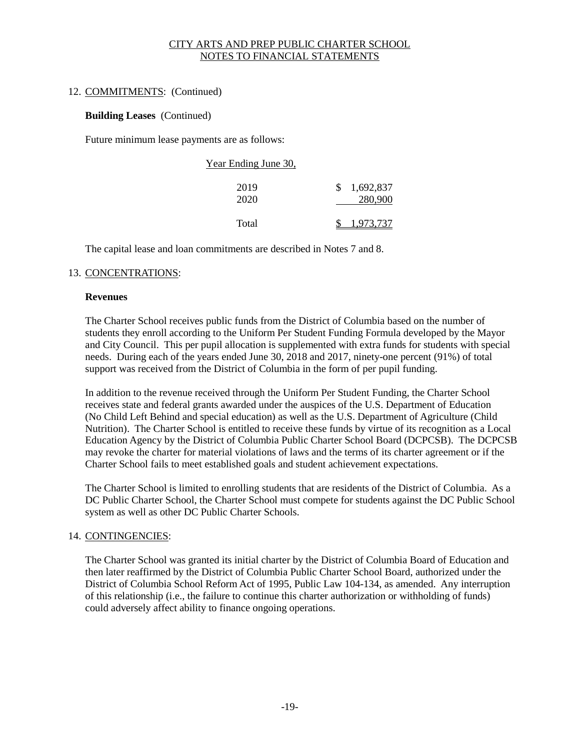# 12. COMMITMENTS: (Continued)

# **Building Leases** (Continued)

Future minimum lease payments are as follows:

| Year Ending June 30, |                      |
|----------------------|----------------------|
| 2019<br>2020         | 1,692,837<br>280,900 |
| Total                | 1.913.131            |

The capital lease and loan commitments are described in Notes 7 and 8.

# 13. CONCENTRATIONS:

## **Revenues**

The Charter School receives public funds from the District of Columbia based on the number of students they enroll according to the Uniform Per Student Funding Formula developed by the Mayor and City Council. This per pupil allocation is supplemented with extra funds for students with special needs. During each of the years ended June 30, 2018 and 2017, ninety-one percent (91%) of total support was received from the District of Columbia in the form of per pupil funding.

In addition to the revenue received through the Uniform Per Student Funding, the Charter School receives state and federal grants awarded under the auspices of the U.S. Department of Education (No Child Left Behind and special education) as well as the U.S. Department of Agriculture (Child Nutrition). The Charter School is entitled to receive these funds by virtue of its recognition as a Local Education Agency by the District of Columbia Public Charter School Board (DCPCSB). The DCPCSB may revoke the charter for material violations of laws and the terms of its charter agreement or if the Charter School fails to meet established goals and student achievement expectations.

The Charter School is limited to enrolling students that are residents of the District of Columbia. As a DC Public Charter School, the Charter School must compete for students against the DC Public School system as well as other DC Public Charter Schools.

# 14. CONTINGENCIES:

The Charter School was granted its initial charter by the District of Columbia Board of Education and then later reaffirmed by the District of Columbia Public Charter School Board, authorized under the District of Columbia School Reform Act of 1995, Public Law 104-134, as amended. Any interruption of this relationship (i.e., the failure to continue this charter authorization or withholding of funds) could adversely affect ability to finance ongoing operations.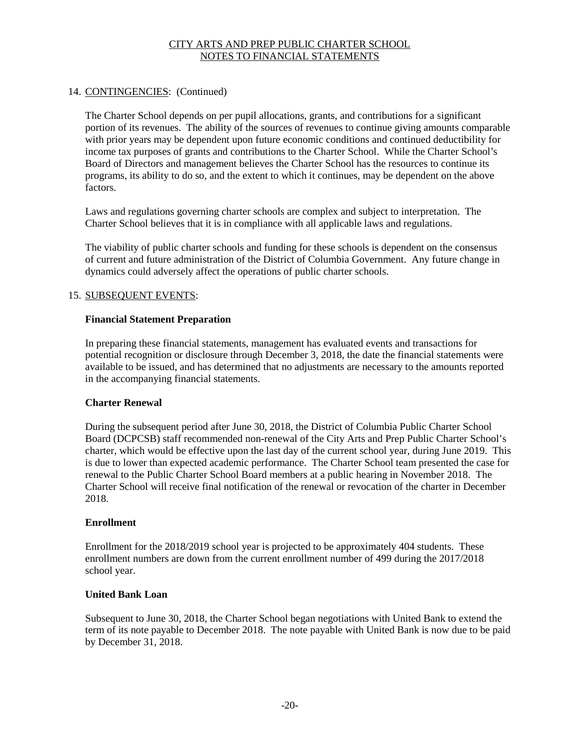# 14. CONTINGENCIES: (Continued)

The Charter School depends on per pupil allocations, grants, and contributions for a significant portion of its revenues. The ability of the sources of revenues to continue giving amounts comparable with prior years may be dependent upon future economic conditions and continued deductibility for income tax purposes of grants and contributions to the Charter School. While the Charter School's Board of Directors and management believes the Charter School has the resources to continue its programs, its ability to do so, and the extent to which it continues, may be dependent on the above factors.

Laws and regulations governing charter schools are complex and subject to interpretation. The Charter School believes that it is in compliance with all applicable laws and regulations.

The viability of public charter schools and funding for these schools is dependent on the consensus of current and future administration of the District of Columbia Government. Any future change in dynamics could adversely affect the operations of public charter schools.

## 15. SUBSEQUENT EVENTS:

## **Financial Statement Preparation**

In preparing these financial statements, management has evaluated events and transactions for potential recognition or disclosure through December 3, 2018, the date the financial statements were available to be issued, and has determined that no adjustments are necessary to the amounts reported in the accompanying financial statements.

## **Charter Renewal**

During the subsequent period after June 30, 2018, the District of Columbia Public Charter School Board (DCPCSB) staff recommended non-renewal of the City Arts and Prep Public Charter School's charter, which would be effective upon the last day of the current school year, during June 2019. This is due to lower than expected academic performance. The Charter School team presented the case for renewal to the Public Charter School Board members at a public hearing in November 2018. The Charter School will receive final notification of the renewal or revocation of the charter in December 2018.

## **Enrollment**

Enrollment for the 2018/2019 school year is projected to be approximately 404 students. These enrollment numbers are down from the current enrollment number of 499 during the 2017/2018 school year.

## **United Bank Loan**

Subsequent to June 30, 2018, the Charter School began negotiations with United Bank to extend the term of its note payable to December 2018. The note payable with United Bank is now due to be paid by December 31, 2018.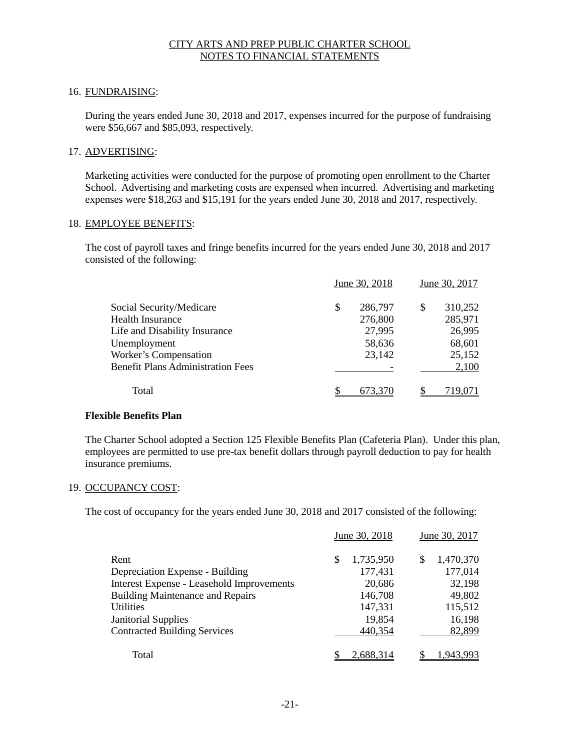## 16. FUNDRAISING:

During the years ended June 30, 2018 and 2017, expenses incurred for the purpose of fundraising were \$56,667 and \$85,093, respectively.

#### 17. ADVERTISING:

Marketing activities were conducted for the purpose of promoting open enrollment to the Charter School. Advertising and marketing costs are expensed when incurred. Advertising and marketing expenses were \$18,263 and \$15,191 for the years ended June 30, 2018 and 2017, respectively.

#### 18. EMPLOYEE BENEFITS:

The cost of payroll taxes and fringe benefits incurred for the years ended June 30, 2018 and 2017 consisted of the following:

|                                          | June 30, 2018 | June 30, 2017 |
|------------------------------------------|---------------|---------------|
| Social Security/Medicare                 | 286,797<br>\$ | 310,252<br>S  |
| <b>Health Insurance</b>                  | 276,800       | 285,971       |
| Life and Disability Insurance            | 27,995        | 26,995        |
| Unemployment                             | 58,636        | 68,601        |
| <b>Worker's Compensation</b>             | 23,142        | 25,152        |
| <b>Benefit Plans Administration Fees</b> |               | 2,100         |
| Total                                    |               |               |

## **Flexible Benefits Plan**

The Charter School adopted a Section 125 Flexible Benefits Plan (Cafeteria Plan). Under this plan, employees are permitted to use pre-tax benefit dollars through payroll deduction to pay for health insurance premiums.

#### 19. OCCUPANCY COST:

The cost of occupancy for the years ended June 30, 2018 and 2017 consisted of the following:

|                                           |   | June 30, 2018 | June 30, 2017   |
|-------------------------------------------|---|---------------|-----------------|
| Rent                                      | S | 1,735,950     | \$<br>1,470,370 |
| Depreciation Expense - Building           |   | 177,431       | 177,014         |
| Interest Expense - Leasehold Improvements |   | 20,686        | 32,198          |
| <b>Building Maintenance and Repairs</b>   |   | 146,708       | 49,802          |
| Utilities                                 |   | 147,331       | 115,512         |
| <b>Janitorial Supplies</b>                |   | 19,854        | 16,198          |
| <b>Contracted Building Services</b>       |   | 440,354       | 82,899          |
| Total                                     |   | 2.688.314     | 943.9           |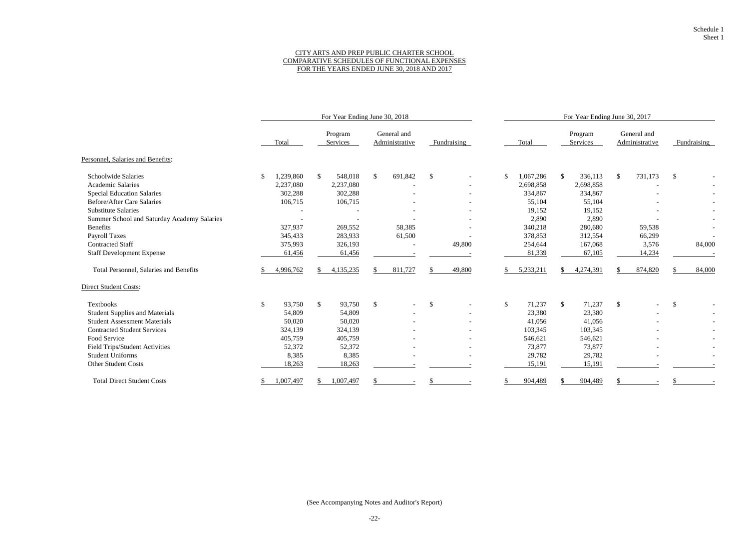#### CITY ARTS AND PREP PUBLIC CHARTER SCHOOL COMPARATIVE SCHEDULES OF FUNCTIONAL EXPENSES FOR THE YEARS ENDED JUNE 30, 2018 AND 2017

|                                               |                            |       | For Year Ending June 30, 2018 |               |                               |               |             | For Year Ending June 30, 2017 |           |               |                     |                           |                               |    |                    |
|-----------------------------------------------|----------------------------|-------|-------------------------------|---------------|-------------------------------|---------------|-------------|-------------------------------|-----------|---------------|---------------------|---------------------------|-------------------------------|----|--------------------|
|                                               | Total                      |       | Program<br>Services           |               | General and<br>Administrative |               | Fundraising |                               | Total     |               | Program<br>Services |                           | General and<br>Administrative |    | <b>Fundraising</b> |
| Personnel, Salaries and Benefits:             |                            |       |                               |               |                               |               |             |                               |           |               |                     |                           |                               |    |                    |
| Schoolwide Salaries                           | <sup>\$</sup><br>1,239,860 |       | \$<br>548,018                 | <sup>\$</sup> | 691,842                       | <sup>\$</sup> |             |                               | 1,067,286 | -S            | 336,113             | $\mathbb{S}$              | 731,173                       | \$ |                    |
| Academic Salaries                             | 2,237,080                  |       | 2,237,080                     |               |                               |               |             |                               | 2,698,858 |               | 2,698,858           |                           |                               |    |                    |
| <b>Special Education Salaries</b>             | 302,288                    |       | 302,288                       |               |                               |               |             |                               | 334,867   |               | 334,867             |                           |                               |    |                    |
| <b>Before/After Care Salaries</b>             | 106,715                    |       | 106,715                       |               |                               |               |             |                               | 55,104    |               | 55,104              |                           |                               |    |                    |
| <b>Substitute Salaries</b>                    |                            |       |                               |               |                               |               |             |                               | 19,152    |               | 19,152              |                           |                               |    |                    |
| Summer School and Saturday Academy Salaries   |                            |       |                               |               |                               |               |             |                               | 2,890     |               | 2,890               |                           |                               |    |                    |
| <b>Benefits</b>                               | 327,937                    |       | 269,552                       |               | 58,385                        |               |             |                               | 340,218   |               | 280,680             |                           | 59,538                        |    |                    |
| Payroll Taxes                                 | 345,433                    |       | 283,933                       |               | 61,500                        |               |             |                               | 378,853   |               | 312,554             |                           | 66,299                        |    |                    |
| <b>Contracted Staff</b>                       | 375,993                    |       | 326,193                       |               |                               |               | 49,800      |                               | 254,644   |               | 167,068             |                           | 3,576                         |    | 84,000             |
| <b>Staff Development Expense</b>              | 61,456                     |       | 61,456                        |               |                               |               |             |                               | 81,339    |               | 67,105              |                           | 14,234                        |    |                    |
| <b>Total Personnel, Salaries and Benefits</b> | 4,996,762                  |       | 4,135,235                     |               | 811,727                       |               | 49,800      |                               | 5,233,211 |               | 4,274,391           |                           | 874,820                       |    | 84,000             |
| <b>Direct Student Costs:</b>                  |                            |       |                               |               |                               |               |             |                               |           |               |                     |                           |                               |    |                    |
| Textbooks                                     | <sup>\$</sup><br>93,750    |       | $\mathbb{S}$<br>93,750        | <sup>\$</sup> |                               | <sup>\$</sup> |             | $\mathbb{S}$                  | 71,237    | <sup>\$</sup> | 71,237              | $\boldsymbol{\mathsf{S}}$ |                               | \$ |                    |
| <b>Student Supplies and Materials</b>         | 54,809                     |       | 54,809                        |               |                               |               |             |                               | 23,380    |               | 23,380              |                           |                               |    |                    |
| <b>Student Assessment Materials</b>           | 50,020                     |       | 50,020                        |               |                               |               |             |                               | 41,056    |               | 41,056              |                           |                               |    |                    |
| <b>Contracted Student Services</b>            | 324,139                    |       | 324,139                       |               |                               |               |             |                               | 103,345   |               | 103,345             |                           |                               |    |                    |
| Food Service                                  | 405,759                    |       | 405,759                       |               |                               |               |             |                               | 546,621   |               | 546,621             |                           |                               |    |                    |
| Field Trips/Student Activities                | 52,372                     |       | 52,372                        |               |                               |               |             |                               | 73,877    |               | 73,877              |                           |                               |    |                    |
| <b>Student Uniforms</b>                       |                            | 8,385 | 8,385                         |               |                               |               |             |                               | 29,782    |               | 29,782              |                           |                               |    |                    |
| Other Student Costs                           | 18,263                     |       | 18,263                        |               |                               |               |             |                               | 15,191    |               | 15,191              |                           |                               |    |                    |
| <b>Total Direct Student Costs</b>             | 1,007,497                  |       | 1,007,497                     |               |                               |               |             |                               | 904,489   |               | 904,489             |                           |                               |    |                    |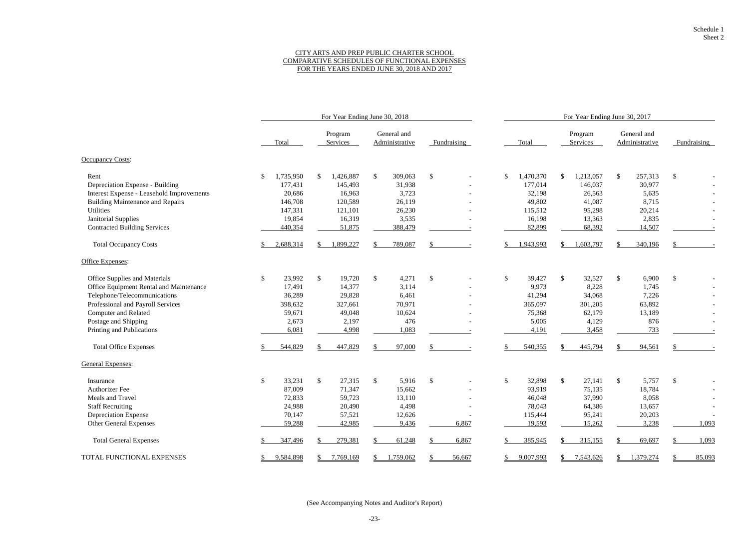#### CITY ARTS AND PREP PUBLIC CHARTER SCHOOL COMPARATIVE SCHEDULES OF FUNCTIONAL EXPENSES FOR THE YEARS ENDED JUNE 30, 2018 AND 2017

|                                           |                           | For Year Ending June 30, 2018 |              |                     |                           |                               |         | For Year Ending June 30, 2017 |    |           |               |                     |    |                               |                           |
|-------------------------------------------|---------------------------|-------------------------------|--------------|---------------------|---------------------------|-------------------------------|---------|-------------------------------|----|-----------|---------------|---------------------|----|-------------------------------|---------------------------|
|                                           |                           | Total                         |              | Program<br>Services |                           | General and<br>Administrative |         | Fundraising                   |    | Total     |               | Program<br>Services |    | General and<br>Administrative | Fundraising               |
| <b>Occupancy Costs:</b>                   |                           |                               |              |                     |                           |                               |         |                               |    |           |               |                     |    |                               |                           |
| Rent                                      | $\mathcal{S}$             | 1,735,950                     | \$           | 1,426,887           | $\mathcal{S}$             | 309,063                       | $\sqrt$ |                               | \$ | 1,470,370 | <sup>S</sup>  | 1,213,057           | \$ | 257,313                       | $\boldsymbol{\mathsf{S}}$ |
| Depreciation Expense - Building           |                           | 177,431                       |              | 145,493             |                           | 31,938                        |         |                               |    | 177,014   |               | 146,037             |    | 30,977                        |                           |
| Interest Expense - Leasehold Improvements |                           | 20,686                        |              | 16,963              |                           | 3,723                         |         |                               |    | 32,198    |               | 26,563              |    | 5,635                         |                           |
| <b>Building Maintenance and Repairs</b>   |                           | 146,708                       |              | 120,589             |                           | 26,119                        |         |                               |    | 49,802    |               | 41,087              |    | 8,715                         |                           |
| Utilities                                 |                           | 147,331                       |              | 121,101             |                           | 26,230                        |         |                               |    | 115,512   |               | 95,298              |    | 20,214                        |                           |
| <b>Janitorial Supplies</b>                |                           | 19,854                        |              | 16,319              |                           | 3,535                         |         |                               |    | 16,198    |               | 13,363              |    | 2,835                         |                           |
| <b>Contracted Building Services</b>       |                           | 440,354                       |              | 51,875              |                           | 388,479                       |         |                               |    | 82,899    |               | 68,392              |    | 14,507                        |                           |
| <b>Total Occupancy Costs</b>              |                           | 2,688,314                     |              | 1,899,227           |                           | 789,087                       | \$      |                               |    | 1,943,993 | \$            | 1,603,797           |    | 340,196                       |                           |
| Office Expenses:                          |                           |                               |              |                     |                           |                               |         |                               |    |           |               |                     |    |                               |                           |
| <b>Office Supplies and Materials</b>      | $\mathcal{S}$             | 23,992                        | $\mathbb{S}$ | 19,720              | $\sqrt$                   | 4,271                         | $\$\,$  |                               | \$ | 39,427    | $\mathcal{S}$ | 32,527              | \$ | 6,900                         | $\boldsymbol{\mathsf{S}}$ |
| Office Equipment Rental and Maintenance   |                           | 17,491                        |              | 14,377              |                           | 3,114                         |         |                               |    | 9,973     |               | 8,228               |    | 1,745                         |                           |
| Telephone/Telecommunications              |                           | 36,289                        |              | 29,828              |                           | 6,461                         |         |                               |    | 41,294    |               | 34,068              |    | 7,226                         |                           |
| Professional and Payroll Services         |                           | 398,632                       |              | 327,661             |                           | 70,971                        |         |                               |    | 365,097   |               | 301,205             |    | 63,892                        |                           |
| Computer and Related                      |                           | 59,671                        |              | 49,048              |                           | 10,624                        |         |                               |    | 75,368    |               | 62,179              |    | 13,189                        |                           |
| Postage and Shipping                      |                           | 2,673                         |              | 2,197               |                           | 476                           |         |                               |    | 5,005     |               | 4,129               |    | 876                           |                           |
| Printing and Publications                 |                           | 6,081                         |              | 4,998               |                           | 1,083                         |         |                               |    | 4,191     |               | 3,458               |    | 733                           |                           |
| <b>Total Office Expenses</b>              |                           | 544,829                       |              | 447,829             |                           | 97,000                        |         |                               |    | 540,355   |               | 445,794             |    | 94,561                        |                           |
| General Expenses:                         |                           |                               |              |                     |                           |                               |         |                               |    |           |               |                     |    |                               |                           |
| Insurance                                 | $\boldsymbol{\mathsf{S}}$ | 33,231                        | \$           | 27,315              | $\boldsymbol{\mathsf{S}}$ | 5,916                         | $\$\,$  |                               | \$ | 32,898    | $\mathcal{S}$ | 27,141              | \$ | 5,757                         | $\boldsymbol{\mathsf{S}}$ |
| <b>Authorizer Fee</b>                     |                           | 87,009                        |              | 71,347              |                           | 15,662                        |         |                               |    | 93,919    |               | 75,135              |    | 18,784                        |                           |
| Meals and Travel                          |                           | 72,833                        |              | 59,723              |                           | 13,110                        |         |                               |    | 46,048    |               | 37,990              |    | 8,058                         |                           |
| <b>Staff Recruiting</b>                   |                           | 24,988                        |              | 20,490              |                           | 4,498                         |         |                               |    | 78,043    |               | 64,386              |    | 13,657                        |                           |
| Depreciation Expense                      |                           | 70,147                        |              | 57,521              |                           | 12,626                        |         |                               |    | 115,444   |               | 95,241              |    | 20,203                        |                           |
| <b>Other General Expenses</b>             |                           | 59,288                        |              | 42,985              |                           | 9,436                         |         | 6,867                         |    | 19,593    |               | 15,262              |    | 3,238                         | 1,093                     |
| <b>Total General Expenses</b>             |                           | 347,496                       |              | 279,381             |                           | 61,248                        |         | 6,867                         |    | 385,945   |               | 315,155             |    | 69,697                        | 1,093                     |
| TOTAL FUNCTIONAL EXPENSES                 |                           | 9,584,898                     |              | 7,769,169           |                           | 1,759,062                     |         | 56,667                        |    | 9,007,993 |               | 7,543,626           |    | 1,379,274                     | 85,093                    |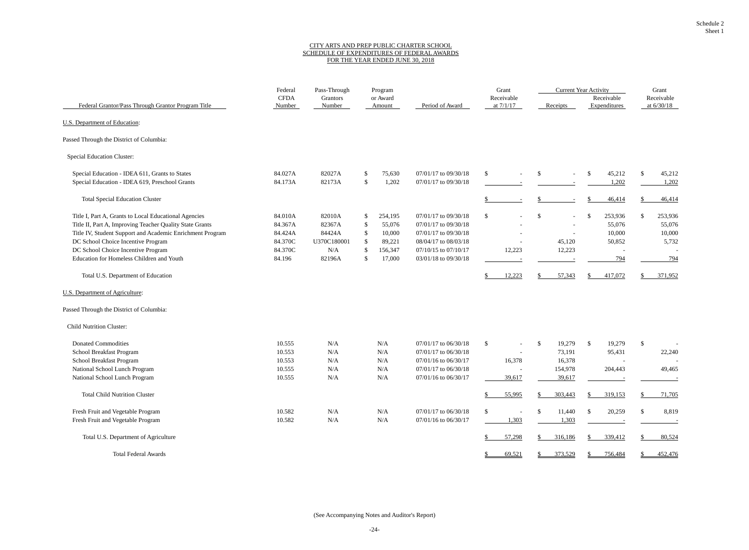#### CITY ARTS AND PREP PUBLIC CHARTER SCHOOL SCHEDULE OF EXPENDITURES OF FEDERAL AWARDS FOR THE YEAR ENDED JUNE 30, 2018

| <b>CFDA</b><br>Number | <b>Grantors</b><br>Number               |                                              |                                                                   |                                                                                                     |                                                                                                                                                                                                                                                                                                                                                                                                    |                                              |         |                    |         |                                             | Grant<br>Receivable<br>at $6/30/18$ |
|-----------------------|-----------------------------------------|----------------------------------------------|-------------------------------------------------------------------|-----------------------------------------------------------------------------------------------------|----------------------------------------------------------------------------------------------------------------------------------------------------------------------------------------------------------------------------------------------------------------------------------------------------------------------------------------------------------------------------------------------------|----------------------------------------------|---------|--------------------|---------|---------------------------------------------|-------------------------------------|
|                       |                                         |                                              |                                                                   |                                                                                                     |                                                                                                                                                                                                                                                                                                                                                                                                    |                                              |         |                    |         |                                             |                                     |
|                       |                                         |                                              |                                                                   |                                                                                                     |                                                                                                                                                                                                                                                                                                                                                                                                    |                                              |         |                    |         |                                             |                                     |
|                       |                                         |                                              |                                                                   |                                                                                                     |                                                                                                                                                                                                                                                                                                                                                                                                    |                                              |         |                    |         |                                             |                                     |
| 84.027A               | 82027A                                  | \$                                           |                                                                   | <sup>\$</sup>                                                                                       |                                                                                                                                                                                                                                                                                                                                                                                                    | \$                                           |         | \$                 | 45,212  | \$                                          | 45,212                              |
| 84.173A               | 82173A                                  | \$                                           |                                                                   |                                                                                                     |                                                                                                                                                                                                                                                                                                                                                                                                    |                                              |         |                    | 1,202   |                                             | 1,202                               |
|                       |                                         |                                              |                                                                   |                                                                                                     |                                                                                                                                                                                                                                                                                                                                                                                                    |                                              |         |                    | 46,414  |                                             | 46,414                              |
| 84.010A               | 82010A                                  | \$                                           |                                                                   | \$                                                                                                  |                                                                                                                                                                                                                                                                                                                                                                                                    | \$                                           |         | \$                 | 253,936 | \$                                          | 253,936                             |
| 84.367A               | 82367A                                  | \$                                           |                                                                   |                                                                                                     |                                                                                                                                                                                                                                                                                                                                                                                                    |                                              |         |                    | 55,076  |                                             | 55,076                              |
| 84.424A               | 84424A                                  | $\boldsymbol{\mathsf{S}}$                    |                                                                   |                                                                                                     |                                                                                                                                                                                                                                                                                                                                                                                                    |                                              |         |                    | 10,000  |                                             | 10,000                              |
|                       |                                         |                                              |                                                                   |                                                                                                     |                                                                                                                                                                                                                                                                                                                                                                                                    |                                              | 45,120  |                    |         |                                             | 5,732                               |
|                       |                                         |                                              |                                                                   |                                                                                                     |                                                                                                                                                                                                                                                                                                                                                                                                    |                                              |         |                    |         |                                             |                                     |
|                       |                                         | \$                                           |                                                                   |                                                                                                     |                                                                                                                                                                                                                                                                                                                                                                                                    |                                              |         |                    |         |                                             | 794                                 |
|                       |                                         |                                              |                                                                   |                                                                                                     | 12,223                                                                                                                                                                                                                                                                                                                                                                                             |                                              | 57,343  |                    | 417,072 |                                             | 371,952                             |
|                       |                                         |                                              |                                                                   |                                                                                                     |                                                                                                                                                                                                                                                                                                                                                                                                    |                                              |         |                    |         |                                             |                                     |
|                       |                                         |                                              |                                                                   |                                                                                                     |                                                                                                                                                                                                                                                                                                                                                                                                    |                                              |         |                    |         |                                             |                                     |
|                       |                                         |                                              |                                                                   |                                                                                                     |                                                                                                                                                                                                                                                                                                                                                                                                    |                                              |         |                    |         |                                             |                                     |
| 10.555                | N/A                                     |                                              |                                                                   | $\mathbb{S}$                                                                                        |                                                                                                                                                                                                                                                                                                                                                                                                    | \$                                           | 19,279  | \$                 | 19,279  | \$                                          |                                     |
| 10.553                | N/A                                     |                                              |                                                                   |                                                                                                     |                                                                                                                                                                                                                                                                                                                                                                                                    |                                              | 73,191  |                    | 95,431  |                                             | 22,240                              |
| 10.553                | N/A                                     |                                              |                                                                   |                                                                                                     | 16,378                                                                                                                                                                                                                                                                                                                                                                                             |                                              | 16,378  |                    |         |                                             |                                     |
| 10.555                | N/A                                     |                                              |                                                                   |                                                                                                     |                                                                                                                                                                                                                                                                                                                                                                                                    |                                              | 154,978 |                    | 204,443 |                                             | 49,465                              |
| 10.555                | N/A                                     |                                              |                                                                   |                                                                                                     | 39,617                                                                                                                                                                                                                                                                                                                                                                                             |                                              | 39,617  |                    |         |                                             |                                     |
|                       |                                         |                                              |                                                                   | S                                                                                                   | 55,995                                                                                                                                                                                                                                                                                                                                                                                             |                                              | 303,443 |                    | 319,153 |                                             | 71,705                              |
| 10.582                | N/A                                     |                                              |                                                                   | \$                                                                                                  |                                                                                                                                                                                                                                                                                                                                                                                                    | \$                                           | 11,440  |                    | 20,259  | S.                                          | 8,819                               |
| 10.582                | N/A                                     |                                              |                                                                   |                                                                                                     | 1,303                                                                                                                                                                                                                                                                                                                                                                                              |                                              | 1,303   |                    |         |                                             |                                     |
|                       |                                         |                                              |                                                                   |                                                                                                     | 57,298                                                                                                                                                                                                                                                                                                                                                                                             |                                              | 316,186 |                    | 339,412 |                                             | 80,524                              |
|                       |                                         |                                              |                                                                   |                                                                                                     | 69,521                                                                                                                                                                                                                                                                                                                                                                                             |                                              | 373,529 |                    | 756,484 |                                             | 452,476                             |
|                       | Federal<br>84.370C<br>84.370C<br>84.196 | Pass-Through<br>U370C180001<br>N/A<br>82196A | $\$$<br>\$<br>N/A<br>N/A<br>N/A<br>N/A<br>N/A<br>$\rm N/A$<br>N/A | or Award<br>Amount<br>75,630<br>1,202<br>254,195<br>55,076<br>10,000<br>89,221<br>156,347<br>17,000 | Program<br>Period of Award<br>07/01/17 to 09/30/18<br>07/01/17 to 09/30/18<br>07/01/17 to 09/30/18<br>07/01/17 to 09/30/18<br>07/01/17 to 09/30/18<br>08/04/17 to 08/03/18<br>07/10/15 to 07/10/17<br>03/01/18 to 09/30/18<br>07/01/17 to 06/30/18<br>07/01/17 to 06/30/18<br>07/01/16 to 06/30/17<br>07/01/17 to 06/30/18<br>07/01/16 to 06/30/17<br>07/01/17 to 06/30/18<br>07/01/16 to 06/30/17 | Grant<br>Receivable<br>at $7/1/17$<br>12,223 |         | Receipts<br>12,223 |         | Receivable<br>Expenditures<br>50,852<br>794 | <b>Current Year Activity</b>        |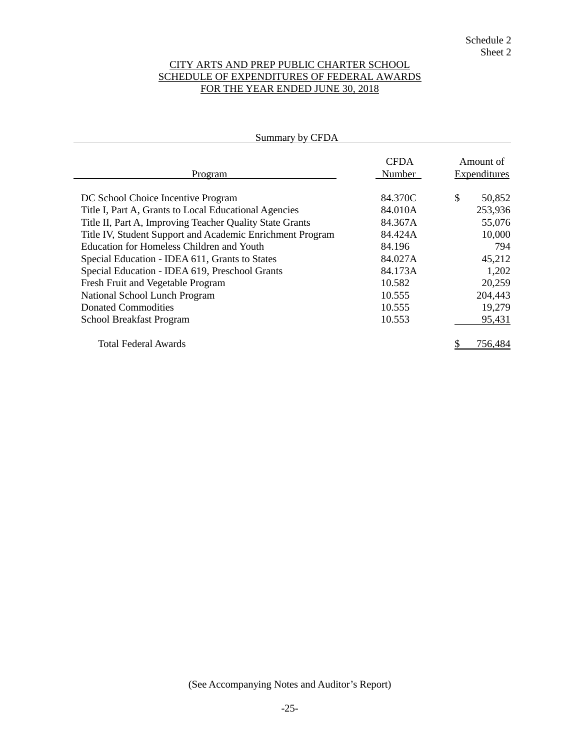# CITY ARTS AND PREP PUBLIC CHARTER SCHOOL SCHEDULE OF EXPENDITURES OF FEDERAL AWARDS FOR THE YEAR ENDED JUNE 30, 2018

| Summary by CFDA                                           |                       |                                  |
|-----------------------------------------------------------|-----------------------|----------------------------------|
| Program                                                   | <b>CFDA</b><br>Number | Amount of<br><b>Expenditures</b> |
| DC School Choice Incentive Program                        | 84.370C               | \$<br>50,852                     |
| Title I, Part A, Grants to Local Educational Agencies     | 84.010A               | 253,936                          |
| Title II, Part A, Improving Teacher Quality State Grants  | 84.367A               | 55,076                           |
| Title IV, Student Support and Academic Enrichment Program | 84.424A               | 10,000                           |
| Education for Homeless Children and Youth                 | 84.196                | 794                              |
| Special Education - IDEA 611, Grants to States            | 84.027A               | 45,212                           |
| Special Education - IDEA 619, Preschool Grants            | 84.173A               | 1,202                            |
| Fresh Fruit and Vegetable Program                         | 10.582                | 20,259                           |
| National School Lunch Program                             | 10.555                | 204,443                          |
| <b>Donated Commodities</b>                                | 10.555                | 19,279                           |
| School Breakfast Program                                  | 10.553                | 95,431                           |
| <b>Total Federal Awards</b>                               |                       | 756.48                           |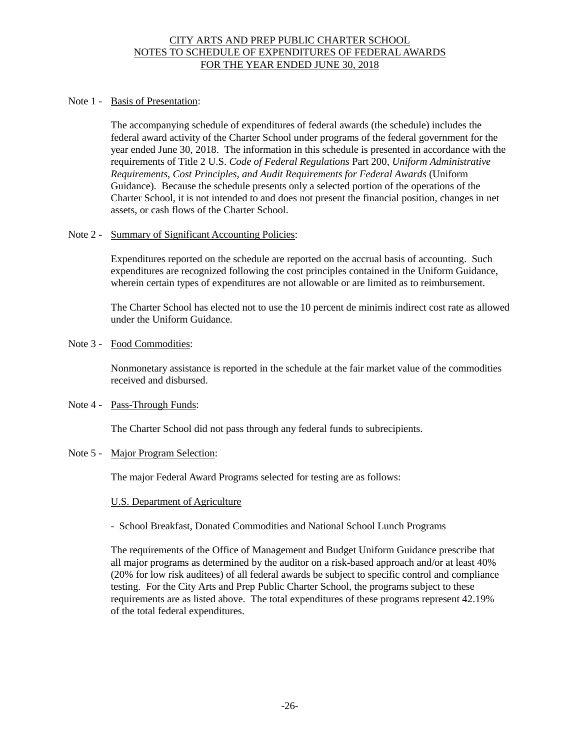## CITY ARTS AND PREP PUBLIC CHARTER SCHOOL NOTES TO SCHEDULE OF EXPENDITURES OF FEDERAL AWARDS FOR THE YEAR ENDED JUNE 30, 2018

## Note 1 - Basis of Presentation:

The accompanying schedule of expenditures of federal awards (the schedule) includes the federal award activity of the Charter School under programs of the federal government for the year ended June 30, 2018. The information in this schedule is presented in accordance with the requirements of Title 2 U.S. *Code of Federal Regulations* Part 200, *Uniform Administrative Requirements, Cost Principles, and Audit Requirements for Federal Awards* (Uniform Guidance). Because the schedule presents only a selected portion of the operations of the Charter School, it is not intended to and does not present the financial position, changes in net assets, or cash flows of the Charter School.

#### Note 2 - Summary of Significant Accounting Policies:

Expenditures reported on the schedule are reported on the accrual basis of accounting. Such expenditures are recognized following the cost principles contained in the Uniform Guidance, wherein certain types of expenditures are not allowable or are limited as to reimbursement.

The Charter School has elected not to use the 10 percent de minimis indirect cost rate as allowed under the Uniform Guidance.

#### Note 3 - Food Commodities:

Nonmonetary assistance is reported in the schedule at the fair market value of the commodities received and disbursed.

#### Note 4 - Pass-Through Funds:

The Charter School did not pass through any federal funds to subrecipients.

#### Note 5 - Major Program Selection:

The major Federal Award Programs selected for testing are as follows:

## U.S. Department of Agriculture

## - School Breakfast, Donated Commodities and National School Lunch Programs

The requirements of the Office of Management and Budget Uniform Guidance prescribe that all major programs as determined by the auditor on a risk-based approach and/or at least 40% (20% for low risk auditees) of all federal awards be subject to specific control and compliance testing. For the City Arts and Prep Public Charter School, the programs subject to these requirements are as listed above. The total expenditures of these programs represent 42.19% of the total federal expenditures.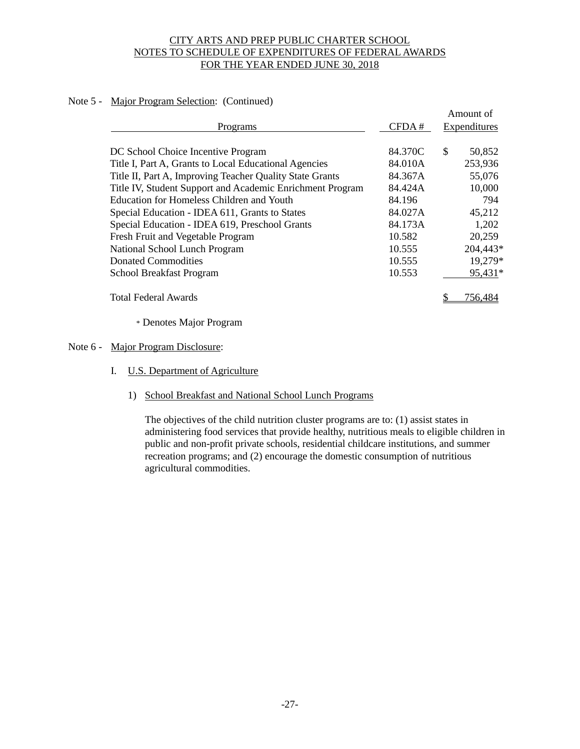## CITY ARTS AND PREP PUBLIC CHARTER SCHOOL NOTES TO SCHEDULE OF EXPENDITURES OF FEDERAL AWARDS FOR THE YEAR ENDED JUNE 30, 2018

## Note 5 - Major Program Selection: (Continued)

|                                                           |         | Amount of    |
|-----------------------------------------------------------|---------|--------------|
| Programs                                                  | CFDA#   | Expenditures |
| DC School Choice Incentive Program                        | 84.370C | \$<br>50,852 |
| Title I, Part A, Grants to Local Educational Agencies     | 84.010A | 253,936      |
| Title II, Part A, Improving Teacher Quality State Grants  | 84.367A | 55,076       |
| Title IV, Student Support and Academic Enrichment Program | 84.424A | 10,000       |
| Education for Homeless Children and Youth                 | 84.196  | 794          |
| Special Education - IDEA 611, Grants to States            | 84.027A | 45,212       |
| Special Education - IDEA 619, Preschool Grants            | 84.173A | 1,202        |
| Fresh Fruit and Vegetable Program                         | 10.582  | 20,259       |
| National School Lunch Program                             | 10.555  | 204,443*     |
| Donated Commodities                                       | 10.555  | 19,279*      |
| School Breakfast Program                                  | 10.553  | 95,431*      |
| <b>Total Federal Awards</b>                               |         | 756.484      |
| * Denotes Major Program                                   |         |              |

## Note 6 - Major Program Disclosure:

# I. U.S. Department of Agriculture

# 1) School Breakfast and National School Lunch Programs

The objectives of the child nutrition cluster programs are to: (1) assist states in administering food services that provide healthy, nutritious meals to eligible children in public and non-profit private schools, residential childcare institutions, and summer recreation programs; and (2) encourage the domestic consumption of nutritious agricultural commodities.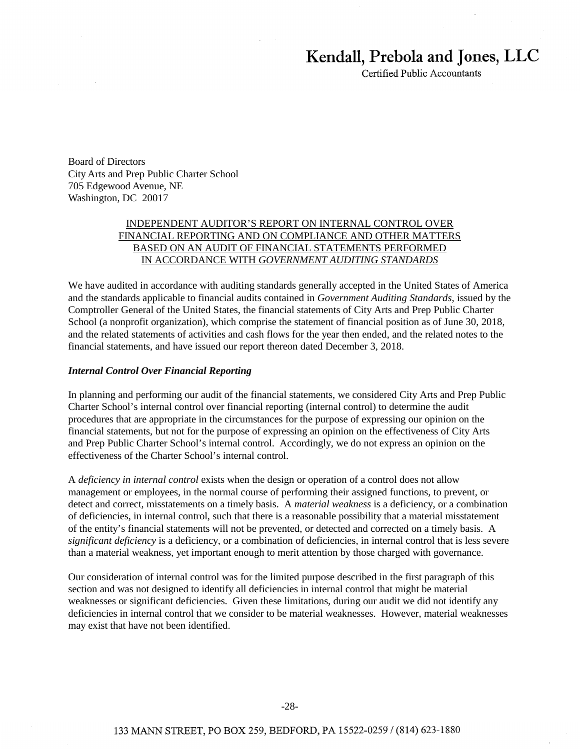# **Kendall, Prebola and Jones, LLC**

Certified Public Accountants

Board of Directors City Arts and Prep Public Charter School 705 Edgewood Avenue, NE Washington, DC 20017

# INDEPENDENT AUDITOR'S REPORT ON INTERNAL CONTROL OVER FINANCIAL REPORTING AND ON COMPLIANCE AND OTHER MATTERS BASED ON AN AUDIT OF FINANCIAL STATEMENTS PERFORMED IN ACCORDANCE WITH *GOVERNMENT AUDITING STANDARDS*

We have audited in accordance with auditing standards generally accepted in the United States of America and the standards applicable to financial audits contained in *Government Auditing Standards*, issued by the Comptroller General of the United States, the financial statements of City Arts and Prep Public Charter School (a nonprofit organization), which comprise the statement of financial position as of June 30, 2018, and the related statements of activities and cash flows for the year then ended, and the related notes to the financial statements, and have issued our report thereon dated December 3, 2018.

#### *Internal Control Over Financial Reporting*

In planning and performing our audit of the financial statements, we considered City Arts and Prep Public Charter School's internal control over financial reporting (internal control) to determine the audit procedures that are appropriate in the circumstances for the purpose of expressing our opinion on the financial statements, but not for the purpose of expressing an opinion on the effectiveness of City Arts and Prep Public Charter School's internal control. Accordingly, we do not express an opinion on the effectiveness of the Charter School's internal control.

A *deficiency in internal control* exists when the design or operation of a control does not allow management or employees, in the normal course of performing their assigned functions, to prevent, or detect and correct, misstatements on a timely basis. A *material weakness* is a deficiency, or a combination of deficiencies, in internal control, such that there is a reasonable possibility that a material misstatement of the entity's financial statements will not be prevented, or detected and corrected on a timely basis. A *significant deficiency* is a deficiency, or a combination of deficiencies, in internal control that is less severe than a material weakness, yet important enough to merit attention by those charged with governance.

Our consideration of internal control was for the limited purpose described in the first paragraph of this section and was not designed to identify all deficiencies in internal control that might be material weaknesses or significant deficiencies. Given these limitations, during our audit we did not identify any deficiencies in internal control that we consider to be material weaknesses. However, material weaknesses may exist that have not been identified.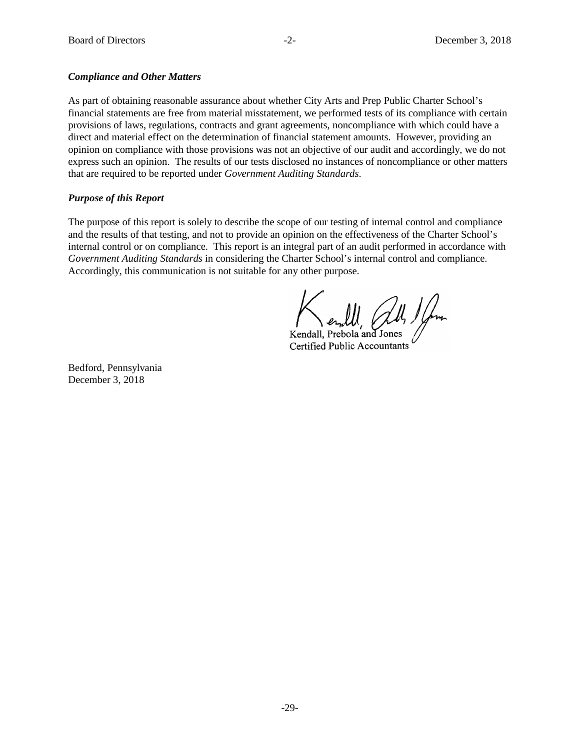## *Compliance and Other Matters*

As part of obtaining reasonable assurance about whether City Arts and Prep Public Charter School's financial statements are free from material misstatement, we performed tests of its compliance with certain provisions of laws, regulations, contracts and grant agreements, noncompliance with which could have a direct and material effect on the determination of financial statement amounts. However, providing an opinion on compliance with those provisions was not an objective of our audit and accordingly, we do not express such an opinion. The results of our tests disclosed no instances of noncompliance or other matters that are required to be reported under *Government Auditing Standards*.

# *Purpose of this Report*

The purpose of this report is solely to describe the scope of our testing of internal control and compliance and the results of that testing, and not to provide an opinion on the effectiveness of the Charter School's internal control or on compliance. This report is an integral part of an audit performed in accordance with *Government Auditing Standards* in considering the Charter School's internal control and compliance. Accordingly, this communication is not suitable for any other purpose.

Kendall, Prebola and Jones Kendall, Prebola and Jones Certified Public Accountants Certified Public Accountants

Bedford, Pennsylvania December 3, 2018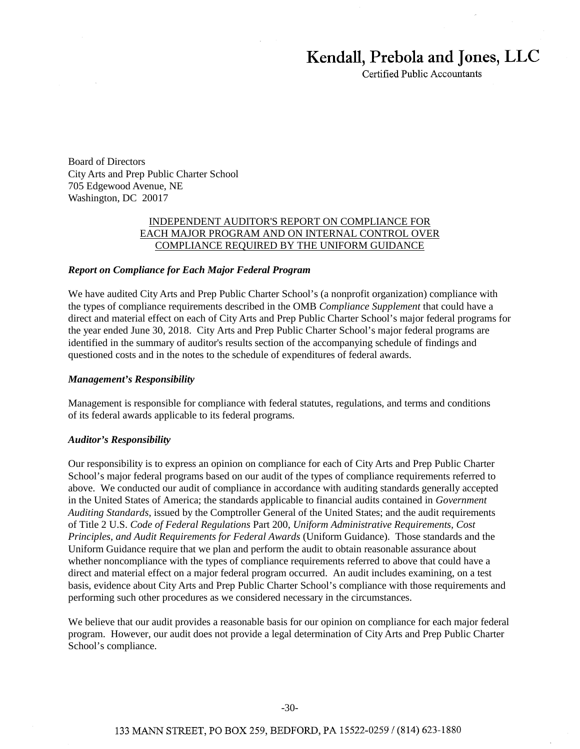# **Kendall, Prebola and Jones, LLC**

Certified Public Accountants

Board of Directors City Arts and Prep Public Charter School 705 Edgewood Avenue, NE Washington, DC 20017

## INDEPENDENT AUDITOR'S REPORT ON COMPLIANCE FOR EACH MAJOR PROGRAM AND ON INTERNAL CONTROL OVER COMPLIANCE REQUIRED BY THE UNIFORM GUIDANCE

#### *Report on Compliance for Each Major Federal Program*

We have audited City Arts and Prep Public Charter School's (a nonprofit organization) compliance with the types of compliance requirements described in the OMB *Compliance Supplement* that could have a direct and material effect on each of City Arts and Prep Public Charter School's major federal programs for the year ended June 30, 2018. City Arts and Prep Public Charter School's major federal programs are identified in the summary of auditor's results section of the accompanying schedule of findings and questioned costs and in the notes to the schedule of expenditures of federal awards.

#### *Management's Responsibility*

Management is responsible for compliance with federal statutes, regulations, and terms and conditions of its federal awards applicable to its federal programs.

#### *Auditor's Responsibility*

Our responsibility is to express an opinion on compliance for each of City Arts and Prep Public Charter School's major federal programs based on our audit of the types of compliance requirements referred to above. We conducted our audit of compliance in accordance with auditing standards generally accepted in the United States of America; the standards applicable to financial audits contained in *Government Auditing Standards*, issued by the Comptroller General of the United States; and the audit requirements of Title 2 U.S. *Code of Federal Regulations* Part 200, *Uniform Administrative Requirements, Cost Principles, and Audit Requirements for Federal Awards* (Uniform Guidance). Those standards and the Uniform Guidance require that we plan and perform the audit to obtain reasonable assurance about whether noncompliance with the types of compliance requirements referred to above that could have a direct and material effect on a major federal program occurred. An audit includes examining, on a test basis, evidence about City Arts and Prep Public Charter School's compliance with those requirements and performing such other procedures as we considered necessary in the circumstances.

We believe that our audit provides a reasonable basis for our opinion on compliance for each major federal program. However, our audit does not provide a legal determination of City Arts and Prep Public Charter School's compliance.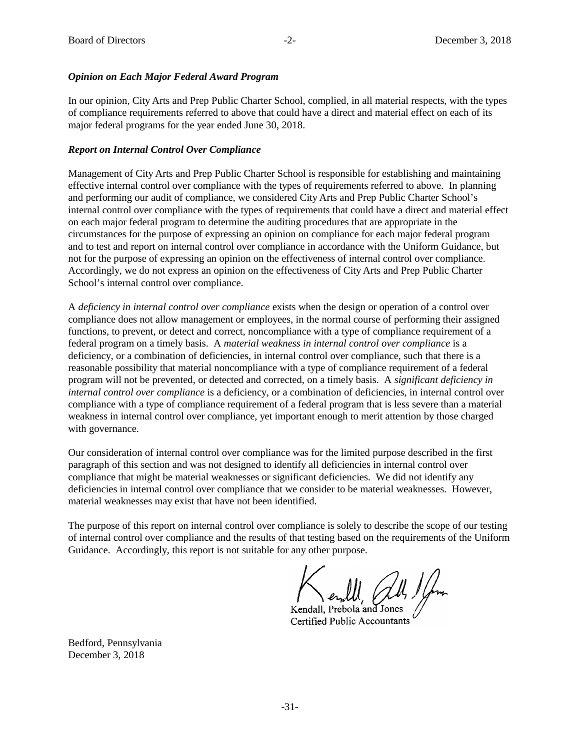## *Opinion on Each Major Federal Award Program*

In our opinion, City Arts and Prep Public Charter School, complied, in all material respects, with the types of compliance requirements referred to above that could have a direct and material effect on each of its major federal programs for the year ended June 30, 2018.

## *Report on Internal Control Over Compliance*

Management of City Arts and Prep Public Charter School is responsible for establishing and maintaining effective internal control over compliance with the types of requirements referred to above. In planning and performing our audit of compliance, we considered City Arts and Prep Public Charter School's internal control over compliance with the types of requirements that could have a direct and material effect on each major federal program to determine the auditing procedures that are appropriate in the circumstances for the purpose of expressing an opinion on compliance for each major federal program and to test and report on internal control over compliance in accordance with the Uniform Guidance, but not for the purpose of expressing an opinion on the effectiveness of internal control over compliance. Accordingly, we do not express an opinion on the effectiveness of City Arts and Prep Public Charter School's internal control over compliance.

A *deficiency in internal control over compliance* exists when the design or operation of a control over compliance does not allow management or employees, in the normal course of performing their assigned functions, to prevent, or detect and correct, noncompliance with a type of compliance requirement of a federal program on a timely basis. A *material weakness in internal control over compliance* is a deficiency, or a combination of deficiencies, in internal control over compliance, such that there is a reasonable possibility that material noncompliance with a type of compliance requirement of a federal program will not be prevented, or detected and corrected, on a timely basis. A *significant deficiency in internal control over compliance* is a deficiency, or a combination of deficiencies, in internal control over compliance with a type of compliance requirement of a federal program that is less severe than a material weakness in internal control over compliance, yet important enough to merit attention by those charged with governance.

Our consideration of internal control over compliance was for the limited purpose described in the first paragraph of this section and was not designed to identify all deficiencies in internal control over compliance that might be material weaknesses or significant deficiencies. We did not identify any deficiencies in internal control over compliance that we consider to be material weaknesses. However, material weaknesses may exist that have not been identified.

The purpose of this report on internal control over compliance is solely to describe the scope of our testing of internal control over compliance and the results of that testing based on the requirements of the Uniform Guidance. Accordingly, this report is not suitable for any other purpose.

er<sub>re</sub>lia,

Kendall, Prebola and Jones Certified Public Accountants Kendall, Prebola and Jones Certified Public Accountants

Bedford, Pennsylvania December 3, 2018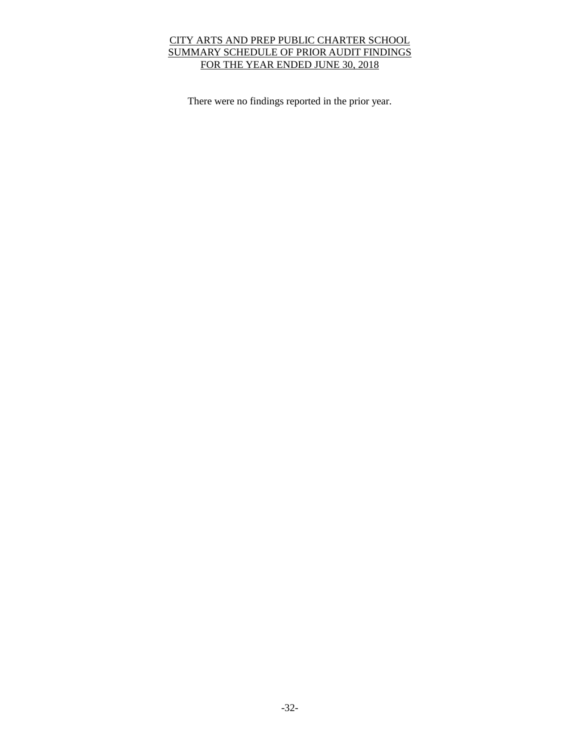# CITY ARTS AND PREP PUBLIC CHARTER SCHOOL SUMMARY SCHEDULE OF PRIOR AUDIT FINDINGS FOR THE YEAR ENDED JUNE 30, 2018

There were no findings reported in the prior year.